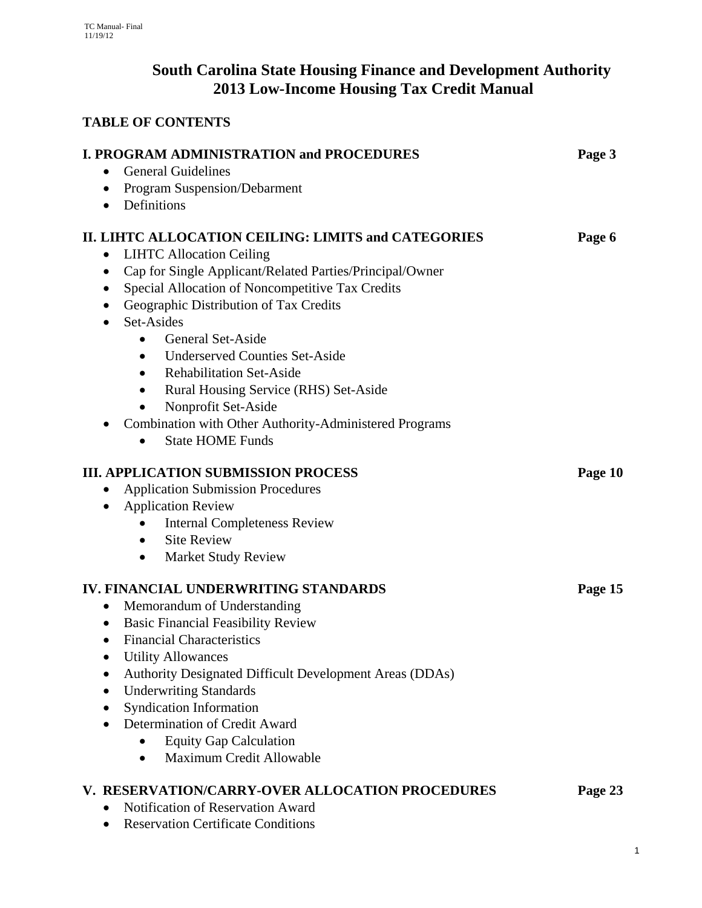# **South Carolina State Housing Finance and Development Authority 2013 Low-Income Housing Tax Credit Manual**

# **TABLE OF CONTENTS**

| <b>I. PROGRAM ADMINISTRATION and PROCEDURES</b><br><b>General Guidelines</b><br>$\bullet$ | Page 3  |
|-------------------------------------------------------------------------------------------|---------|
| • Program Suspension/Debarment                                                            |         |
| • Definitions                                                                             |         |
| II. LIHTC ALLOCATION CEILING: LIMITS and CATEGORIES                                       | Page 6  |
| <b>LIHTC Allocation Ceiling</b>                                                           |         |
| Cap for Single Applicant/Related Parties/Principal/Owner                                  |         |
| Special Allocation of Noncompetitive Tax Credits<br>$\bullet$                             |         |
| Geographic Distribution of Tax Credits                                                    |         |
| Set-Asides<br>$\bullet$                                                                   |         |
| <b>General Set-Aside</b><br>$\bullet$                                                     |         |
| <b>Underserved Counties Set-Aside</b><br>$\bullet$                                        |         |
| <b>Rehabilitation Set-Aside</b><br>$\bullet$                                              |         |
| Rural Housing Service (RHS) Set-Aside<br>$\bullet$                                        |         |
| Nonprofit Set-Aside<br>$\bullet$                                                          |         |
| Combination with Other Authority-Administered Programs                                    |         |
| <b>State HOME Funds</b><br>$\bullet$                                                      |         |
| <b>III. APPLICATION SUBMISSION PROCESS</b>                                                | Page 10 |
| <b>Application Submission Procedures</b>                                                  |         |
| <b>Application Review</b>                                                                 |         |
| <b>Internal Completeness Review</b>                                                       |         |
| <b>Site Review</b><br>$\bullet$                                                           |         |
| <b>Market Study Review</b><br>٠                                                           |         |
| <b>IV. FINANCIAL UNDERWRITING STANDARDS</b>                                               | Page 15 |
| Memorandum of Understanding<br>$\bullet$                                                  |         |
| <b>Basic Financial Feasibility Review</b><br>$\bullet$                                    |         |
| <b>Financial Characteristics</b><br>$\bullet$                                             |         |
| <b>Utility Allowances</b>                                                                 |         |
| <b>Authority Designated Difficult Development Areas (DDAs)</b>                            |         |
| <b>Underwriting Standards</b>                                                             |         |
| <b>Syndication Information</b>                                                            |         |
| Determination of Credit Award                                                             |         |
| <b>Equity Gap Calculation</b>                                                             |         |
| Maximum Credit Allowable<br>$\bullet$                                                     |         |
| V. RESERVATION/CARRY-OVER ALLOCATION PROCEDURES                                           | Page 23 |
| Notification of Reservation Award                                                         |         |
|                                                                                           |         |

• Reservation Certificate Conditions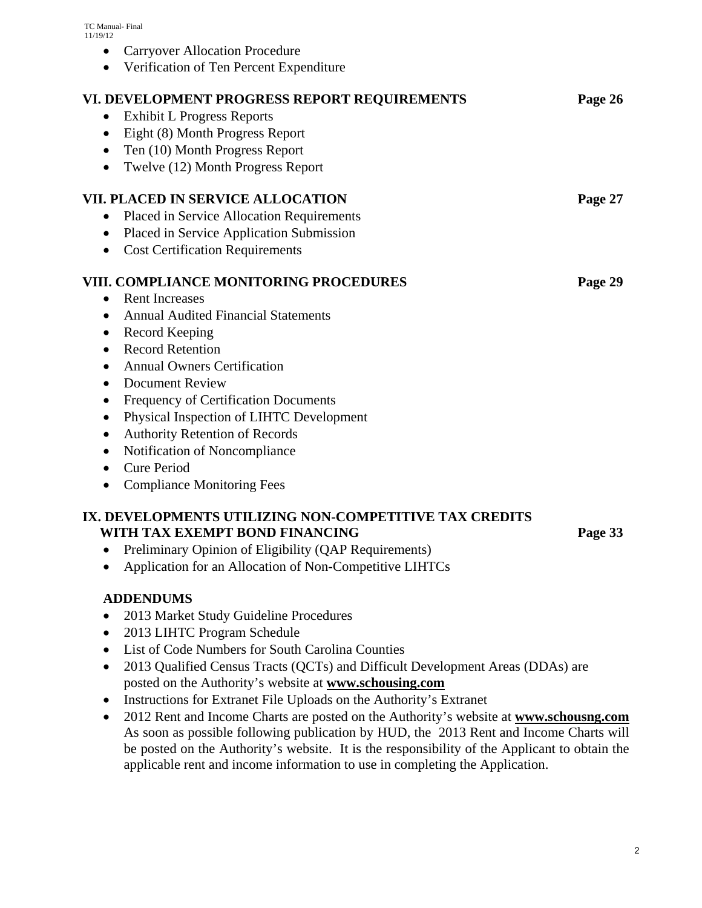- Carryover Allocation Procedure
- Verification of Ten Percent Expenditure

| VI. DEVELOPMENT PROGRESS REPORT REQUIREMENTS<br><b>Exhibit L Progress Reports</b><br>$\bullet$<br>Eight (8) Month Progress Report<br>$\bullet$<br>Ten (10) Month Progress Report<br>٠<br>Twelve (12) Month Progress Report<br>$\bullet$                                                                                                                                                                                                                                                                                                                               | Page 26 |
|-----------------------------------------------------------------------------------------------------------------------------------------------------------------------------------------------------------------------------------------------------------------------------------------------------------------------------------------------------------------------------------------------------------------------------------------------------------------------------------------------------------------------------------------------------------------------|---------|
| <b>VII. PLACED IN SERVICE ALLOCATION</b><br>Placed in Service Allocation Requirements<br>٠<br>Placed in Service Application Submission<br>$\bullet$<br><b>Cost Certification Requirements</b><br>$\bullet$                                                                                                                                                                                                                                                                                                                                                            | Page 27 |
| VIII. COMPLIANCE MONITORING PROCEDURES<br><b>Rent Increases</b><br>$\bullet$<br><b>Annual Audited Financial Statements</b><br>$\bullet$<br>Record Keeping<br>$\bullet$<br><b>Record Retention</b><br>$\bullet$<br><b>Annual Owners Certification</b><br>$\bullet$<br><b>Document Review</b><br>$\bullet$<br>Frequency of Certification Documents<br>٠<br>Physical Inspection of LIHTC Development<br>$\bullet$<br><b>Authority Retention of Records</b><br>٠<br>Notification of Noncompliance<br><b>Cure Period</b><br>$\bullet$<br><b>Compliance Monitoring Fees</b> | Page 29 |

# **IX. DEVELOPMENTS UTILIZING NON-COMPETITIVE TAX CREDITS WITH TAX EXEMPT BOND FINANCING PAGE 33**

- Preliminary Opinion of Eligibility (QAP Requirements)
- Application for an Allocation of Non-Competitive LIHTCs

# **ADDENDUMS**

- 2013 Market Study Guideline Procedures
- 2013 LIHTC Program Schedule
- List of Code Numbers for South Carolina Counties
- 2013 Qualified Census Tracts (QCTs) and Difficult Development Areas (DDAs) are posted on the Authority's website at **www.schousing.com**
- Instructions for Extranet File Uploads on the Authority's Extranet
- 2012 Rent and Income Charts are posted on the Authority's website at **www.schousng.com** As soon as possible following publication by HUD, the 2013 Rent and Income Charts will be posted on the Authority's website. It is the responsibility of the Applicant to obtain the applicable rent and income information to use in completing the Application.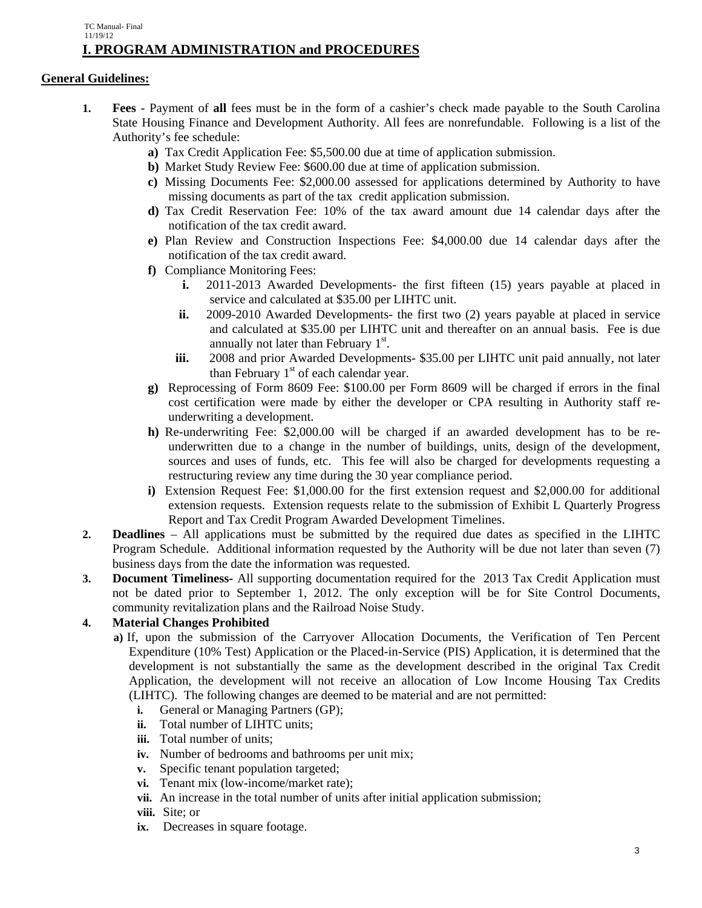# **General Guidelines:**

- **1. Fees** Payment of **all** fees must be in the form of a cashier's check made payable to the South Carolina State Housing Finance and Development Authority. All fees are nonrefundable. Following is a list of the Authority's fee schedule:
	- **a)** Tax Credit Application Fee: \$5,500.00 due at time of application submission.
	- **b)** Market Study Review Fee: \$600.00 due at time of application submission.
	- **c)** Missing Documents Fee: \$2,000.00 assessed for applications determined by Authority to have missing documents as part of the tax credit application submission.
	- **d)** Tax Credit Reservation Fee: 10% of the tax award amount due 14 calendar days after the notification of the tax credit award.
	- **e)** Plan Review and Construction Inspections Fee: \$4,000.00 due 14 calendar days after the notification of the tax credit award.
	- **f)** Compliance Monitoring Fees:
		- **i.** 2011-2013 Awarded Developments- the first fifteen (15) years payable at placed in service and calculated at \$35.00 per LIHTC unit.
		- **ii.** 2009-2010 Awarded Developments- the first two (2) years payable at placed in service and calculated at \$35.00 per LIHTC unit and thereafter on an annual basis. Fee is due annually not later than February 1<sup>st</sup>.
		- **iii.** 2008 and prior Awarded Developments- \$35.00 per LIHTC unit paid annually, not later than February  $1<sup>st</sup>$  of each calendar year.
	- **g)** Reprocessing of Form 8609 Fee: \$100.00 per Form 8609 will be charged if errors in the final cost certification were made by either the developer or CPA resulting in Authority staff reunderwriting a development.
	- **h)** Re-underwriting Fee: \$2,000.00 will be charged if an awarded development has to be reunderwritten due to a change in the number of buildings, units, design of the development, sources and uses of funds, etc. This fee will also be charged for developments requesting a restructuring review any time during the 30 year compliance period.
	- **i)** Extension Request Fee: \$1,000.00 for the first extension request and \$2,000.00 for additional extension requests. Extension requests relate to the submission of Exhibit L Quarterly Progress Report and Tax Credit Program Awarded Development Timelines.
- **2. Deadlines** All applications must be submitted by the required due dates as specified in the LIHTC Program Schedule. Additional information requested by the Authority will be due not later than seven (7) business days from the date the information was requested.
- **3. Document Timeliness-** All supporting documentation required for the 2013 Tax Credit Application must not be dated prior to September 1, 2012. The only exception will be for Site Control Documents, community revitalization plans and the Railroad Noise Study.

# **4. Material Changes Prohibited**

- **a)** If, upon the submission of the Carryover Allocation Documents, the Verification of Ten Percent Expenditure (10% Test) Application or the Placed-in-Service (PIS) Application, it is determined that the development is not substantially the same as the development described in the original Tax Credit Application, the development will not receive an allocation of Low Income Housing Tax Credits (LIHTC). The following changes are deemed to be material and are not permitted:
	- **i.** General or Managing Partners (GP);
	- **ii.** Total number of LIHTC units;
	- **iii.** Total number of units;
	- **iv.** Number of bedrooms and bathrooms per unit mix;
	- **v.** Specific tenant population targeted;
	- **vi.** Tenant mix (low-income/market rate);
	- **vii.** An increase in the total number of units after initial application submission;
	- **viii.** Site; or
	- **ix.** Decreases in square footage.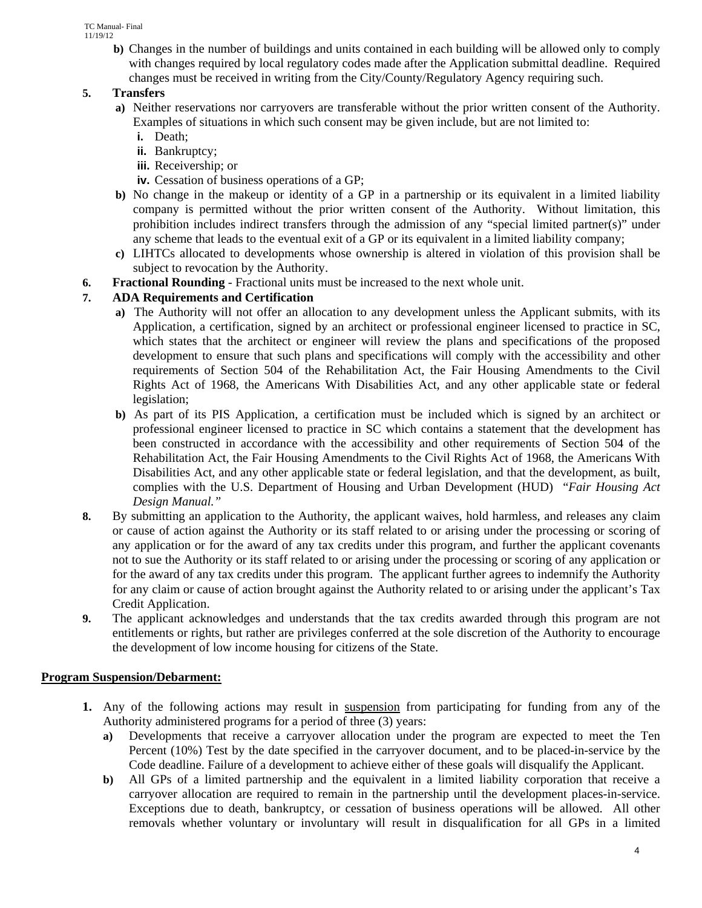> **b)** Changes in the number of buildings and units contained in each building will be allowed only to comply with changes required by local regulatory codes made after the Application submittal deadline. Required changes must be received in writing from the City/County/Regulatory Agency requiring such.

# **5. Transfers**

- **a)** Neither reservations nor carryovers are transferable without the prior written consent of the Authority. Examples of situations in which such consent may be given include, but are not limited to:
	- **i.** Death;
	- **ii.** Bankruptcy;
	- **iii.** Receivership; or
	- **iv.** Cessation of business operations of a GP;
- **b)** No change in the makeup or identity of a GP in a partnership or its equivalent in a limited liability company is permitted without the prior written consent of the Authority. Without limitation, this prohibition includes indirect transfers through the admission of any "special limited partner(s)" under any scheme that leads to the eventual exit of a GP or its equivalent in a limited liability company;
- **c)** LIHTCs allocated to developments whose ownership is altered in violation of this provision shall be subject to revocation by the Authority.
- **6. Fractional Rounding** Fractional units must be increased to the next whole unit.

# **7. ADA Requirements and Certification**

- **a)** The Authority will not offer an allocation to any development unless the Applicant submits, with its Application, a certification, signed by an architect or professional engineer licensed to practice in SC, which states that the architect or engineer will review the plans and specifications of the proposed development to ensure that such plans and specifications will comply with the accessibility and other requirements of Section 504 of the Rehabilitation Act, the Fair Housing Amendments to the Civil Rights Act of 1968, the Americans With Disabilities Act, and any other applicable state or federal legislation;
- **b)** As part of its PIS Application, a certification must be included which is signed by an architect or professional engineer licensed to practice in SC which contains a statement that the development has been constructed in accordance with the accessibility and other requirements of Section 504 of the Rehabilitation Act, the Fair Housing Amendments to the Civil Rights Act of 1968, the Americans With Disabilities Act, and any other applicable state or federal legislation, and that the development, as built, complies with the U.S. Department of Housing and Urban Development (HUD) "*Fair Housing Act Design Manual."*
- **8.** By submitting an application to the Authority, the applicant waives, hold harmless, and releases any claim or cause of action against the Authority or its staff related to or arising under the processing or scoring of any application or for the award of any tax credits under this program, and further the applicant covenants not to sue the Authority or its staff related to or arising under the processing or scoring of any application or for the award of any tax credits under this program. The applicant further agrees to indemnify the Authority for any claim or cause of action brought against the Authority related to or arising under the applicant's Tax Credit Application.
- **9.** The applicant acknowledges and understands that the tax credits awarded through this program are not entitlements or rights, but rather are privileges conferred at the sole discretion of the Authority to encourage the development of low income housing for citizens of the State.

# **Program Suspension/Debarment:**

- **1.** Any of the following actions may result in suspension from participating for funding from any of the Authority administered programs for a period of three (3) years:
	- **a)** Developments that receive a carryover allocation under the program are expected to meet the Ten Percent (10%) Test by the date specified in the carryover document, and to be placed-in-service by the Code deadline. Failure of a development to achieve either of these goals will disqualify the Applicant.
	- **b)** All GPs of a limited partnership and the equivalent in a limited liability corporation that receive a carryover allocation are required to remain in the partnership until the development places-in-service. Exceptions due to death, bankruptcy, or cessation of business operations will be allowed. All other removals whether voluntary or involuntary will result in disqualification for all GPs in a limited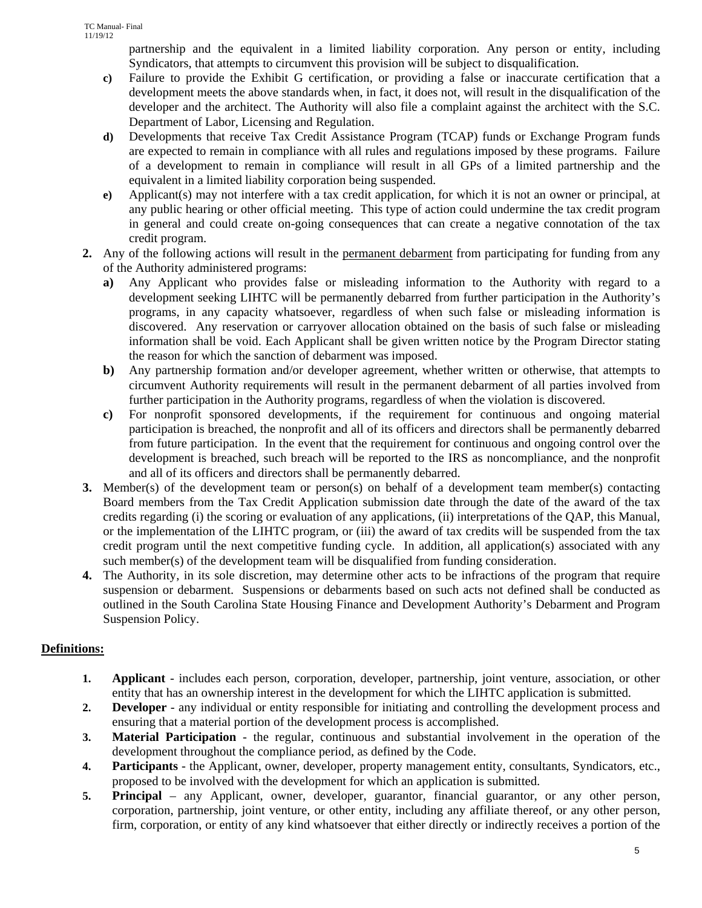partnership and the equivalent in a limited liability corporation. Any person or entity, including Syndicators, that attempts to circumvent this provision will be subject to disqualification.

- **c)** Failure to provide the Exhibit G certification, or providing a false or inaccurate certification that a development meets the above standards when, in fact, it does not, will result in the disqualification of the developer and the architect. The Authority will also file a complaint against the architect with the S.C. Department of Labor, Licensing and Regulation.
- **d)** Developments that receive Tax Credit Assistance Program (TCAP) funds or Exchange Program funds are expected to remain in compliance with all rules and regulations imposed by these programs. Failure of a development to remain in compliance will result in all GPs of a limited partnership and the equivalent in a limited liability corporation being suspended.
- **e)** Applicant(s) may not interfere with a tax credit application, for which it is not an owner or principal, at any public hearing or other official meeting. This type of action could undermine the tax credit program in general and could create on-going consequences that can create a negative connotation of the tax credit program.
- **2.** Any of the following actions will result in the permanent debarment from participating for funding from any of the Authority administered programs:
	- **a)** Any Applicant who provides false or misleading information to the Authority with regard to a development seeking LIHTC will be permanently debarred from further participation in the Authority's programs, in any capacity whatsoever, regardless of when such false or misleading information is discovered. Any reservation or carryover allocation obtained on the basis of such false or misleading information shall be void. Each Applicant shall be given written notice by the Program Director stating the reason for which the sanction of debarment was imposed.
	- **b)** Any partnership formation and/or developer agreement, whether written or otherwise, that attempts to circumvent Authority requirements will result in the permanent debarment of all parties involved from further participation in the Authority programs, regardless of when the violation is discovered.
	- **c)** For nonprofit sponsored developments, if the requirement for continuous and ongoing material participation is breached, the nonprofit and all of its officers and directors shall be permanently debarred from future participation. In the event that the requirement for continuous and ongoing control over the development is breached, such breach will be reported to the IRS as noncompliance, and the nonprofit and all of its officers and directors shall be permanently debarred.
- **3.** Member(s) of the development team or person(s) on behalf of a development team member(s) contacting Board members from the Tax Credit Application submission date through the date of the award of the tax credits regarding (i) the scoring or evaluation of any applications, (ii) interpretations of the QAP, this Manual, or the implementation of the LIHTC program, or (iii) the award of tax credits will be suspended from the tax credit program until the next competitive funding cycle. In addition, all application(s) associated with any such member(s) of the development team will be disqualified from funding consideration.
- **4.** The Authority, in its sole discretion, may determine other acts to be infractions of the program that require suspension or debarment. Suspensions or debarments based on such acts not defined shall be conducted as outlined in the South Carolina State Housing Finance and Development Authority's Debarment and Program Suspension Policy.

# **Definitions:**

- **1. Applicant** includes each person, corporation, developer, partnership, joint venture, association, or other entity that has an ownership interest in the development for which the LIHTC application is submitted.
- **2. Developer** any individual or entity responsible for initiating and controlling the development process and ensuring that a material portion of the development process is accomplished.
- **3. Material Participation**  the regular, continuous and substantial involvement in the operation of the development throughout the compliance period, as defined by the Code.
- **4. Participants** the Applicant, owner, developer, property management entity, consultants, Syndicators, etc., proposed to be involved with the development for which an application is submitted.
- **5. Principal** any Applicant, owner, developer, guarantor, financial guarantor, or any other person, corporation, partnership, joint venture, or other entity, including any affiliate thereof, or any other person, firm, corporation, or entity of any kind whatsoever that either directly or indirectly receives a portion of the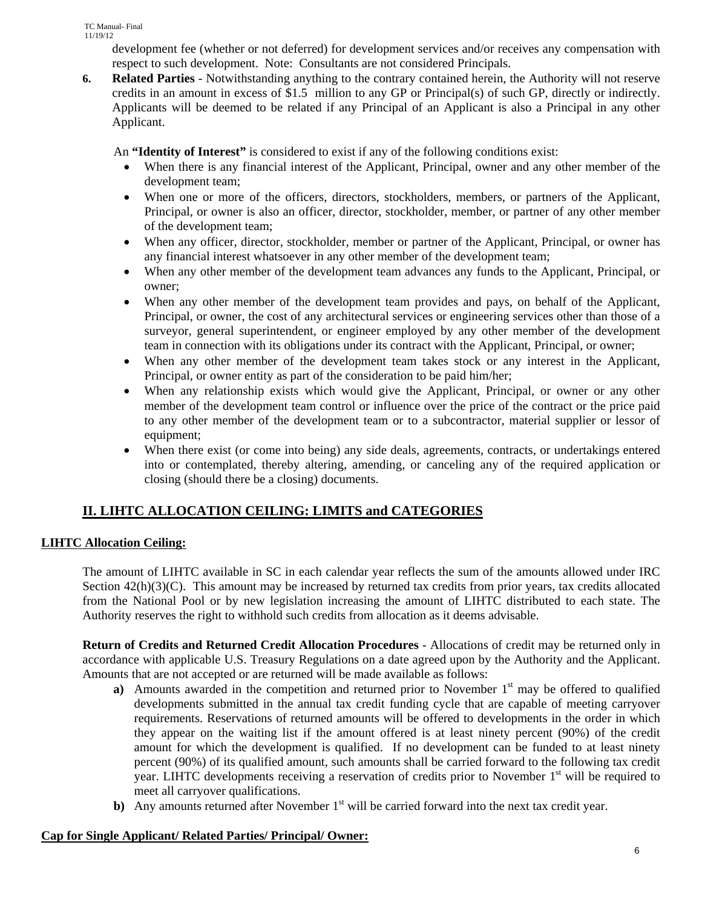development fee (whether or not deferred) for development services and/or receives any compensation with respect to such development. Note: Consultants are not considered Principals.

**6. Related Parties** - Notwithstanding anything to the contrary contained herein, the Authority will not reserve credits in an amount in excess of \$1.5 million to any GP or Principal(s) of such GP, directly or indirectly. Applicants will be deemed to be related if any Principal of an Applicant is also a Principal in any other Applicant.

An **"Identity of Interest"** is considered to exist if any of the following conditions exist:

- When there is any financial interest of the Applicant, Principal, owner and any other member of the development team;
- When one or more of the officers, directors, stockholders, members, or partners of the Applicant, Principal, or owner is also an officer, director, stockholder, member, or partner of any other member of the development team;
- When any officer, director, stockholder, member or partner of the Applicant, Principal, or owner has any financial interest whatsoever in any other member of the development team;
- When any other member of the development team advances any funds to the Applicant, Principal, or owner;
- When any other member of the development team provides and pays, on behalf of the Applicant, Principal, or owner, the cost of any architectural services or engineering services other than those of a surveyor, general superintendent, or engineer employed by any other member of the development team in connection with its obligations under its contract with the Applicant, Principal, or owner;
- When any other member of the development team takes stock or any interest in the Applicant, Principal, or owner entity as part of the consideration to be paid him/her;
- When any relationship exists which would give the Applicant, Principal, or owner or any other member of the development team control or influence over the price of the contract or the price paid to any other member of the development team or to a subcontractor, material supplier or lessor of equipment;
- When there exist (or come into being) any side deals, agreements, contracts, or undertakings entered into or contemplated, thereby altering, amending, or canceling any of the required application or closing (should there be a closing) documents.

# **II. LIHTC ALLOCATION CEILING: LIMITS and CATEGORIES**

# **LIHTC Allocation Ceiling:**

The amount of LIHTC available in SC in each calendar year reflects the sum of the amounts allowed under IRC Section  $42(h)(3)(C)$ . This amount may be increased by returned tax credits from prior years, tax credits allocated from the National Pool or by new legislation increasing the amount of LIHTC distributed to each state. The Authority reserves the right to withhold such credits from allocation as it deems advisable.

**Return of Credits and Returned Credit Allocation Procedures** - Allocations of credit may be returned only in accordance with applicable U.S. Treasury Regulations on a date agreed upon by the Authority and the Applicant. Amounts that are not accepted or are returned will be made available as follows:

- **a**) Amounts awarded in the competition and returned prior to November  $1<sup>st</sup>$  may be offered to qualified developments submitted in the annual tax credit funding cycle that are capable of meeting carryover requirements. Reservations of returned amounts will be offered to developments in the order in which they appear on the waiting list if the amount offered is at least ninety percent (90%) of the credit amount for which the development is qualified. If no development can be funded to at least ninety percent (90%) of its qualified amount, such amounts shall be carried forward to the following tax credit year. LIHTC developments receiving a reservation of credits prior to November 1<sup>st</sup> will be required to meet all carryover qualifications.
- **b**) Any amounts returned after November 1<sup>st</sup> will be carried forward into the next tax credit year.

# **Cap for Single Applicant/ Related Parties/ Principal/ Owner:**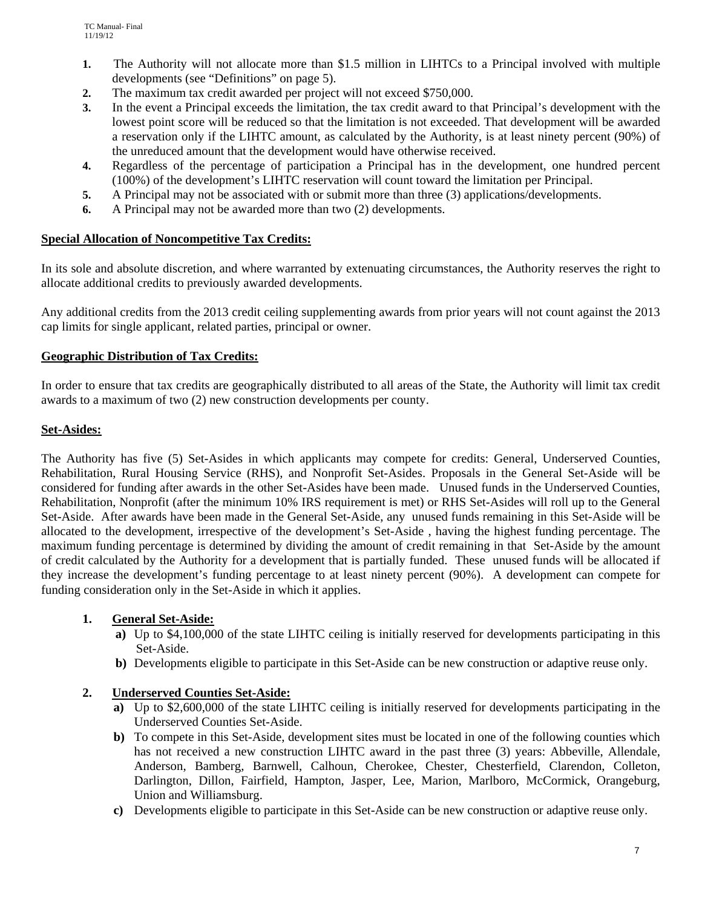- **1.** The Authority will not allocate more than \$1.5 million in LIHTCs to a Principal involved with multiple developments (see "Definitions" on page 5).
- **2.** The maximum tax credit awarded per project will not exceed \$750,000.
- **3.** In the event a Principal exceeds the limitation, the tax credit award to that Principal's development with the lowest point score will be reduced so that the limitation is not exceeded. That development will be awarded a reservation only if the LIHTC amount, as calculated by the Authority, is at least ninety percent (90%) of the unreduced amount that the development would have otherwise received.
- **4.** Regardless of the percentage of participation a Principal has in the development, one hundred percent (100%) of the development's LIHTC reservation will count toward the limitation per Principal.
- **5.** A Principal may not be associated with or submit more than three (3) applications/developments.
- **6.** A Principal may not be awarded more than two (2) developments.

# **Special Allocation of Noncompetitive Tax Credits:**

In its sole and absolute discretion, and where warranted by extenuating circumstances, the Authority reserves the right to allocate additional credits to previously awarded developments.

Any additional credits from the 2013 credit ceiling supplementing awards from prior years will not count against the 2013 cap limits for single applicant, related parties, principal or owner.

# **Geographic Distribution of Tax Credits:**

In order to ensure that tax credits are geographically distributed to all areas of the State, the Authority will limit tax credit awards to a maximum of two (2) new construction developments per county.

# **Set-Asides:**

The Authority has five (5) Set-Asides in which applicants may compete for credits: General, Underserved Counties, Rehabilitation, Rural Housing Service (RHS), and Nonprofit Set-Asides. Proposals in the General Set-Aside will be considered for funding after awards in the other Set-Asides have been made. Unused funds in the Underserved Counties, Rehabilitation, Nonprofit (after the minimum 10% IRS requirement is met) or RHS Set-Asides will roll up to the General Set-Aside. After awards have been made in the General Set-Aside, any unused funds remaining in this Set-Aside will be allocated to the development, irrespective of the development's Set-Aside , having the highest funding percentage. The maximum funding percentage is determined by dividing the amount of credit remaining in that Set-Aside by the amount of credit calculated by the Authority for a development that is partially funded. These unused funds will be allocated if they increase the development's funding percentage to at least ninety percent (90%). A development can compete for funding consideration only in the Set-Aside in which it applies.

# **1. General Set-Aside:**

- **a)** Up to \$4,100,000 of the state LIHTC ceiling is initially reserved for developments participating in this Set-Aside.
- **b)** Developments eligible to participate in this Set-Aside can be new construction or adaptive reuse only.

# **2. Underserved Counties Set-Aside:**

- **a)** Up to \$2,600,000 of the state LIHTC ceiling is initially reserved for developments participating in the Underserved Counties Set-Aside.
- **b)** To compete in this Set-Aside, development sites must be located in one of the following counties which has not received a new construction LIHTC award in the past three (3) years: Abbeville, Allendale, Anderson, Bamberg, Barnwell, Calhoun, Cherokee, Chester, Chesterfield, Clarendon, Colleton, Darlington, Dillon, Fairfield, Hampton, Jasper, Lee, Marion, Marlboro, McCormick, Orangeburg, Union and Williamsburg.
- **c)** Developments eligible to participate in this Set-Aside can be new construction or adaptive reuse only.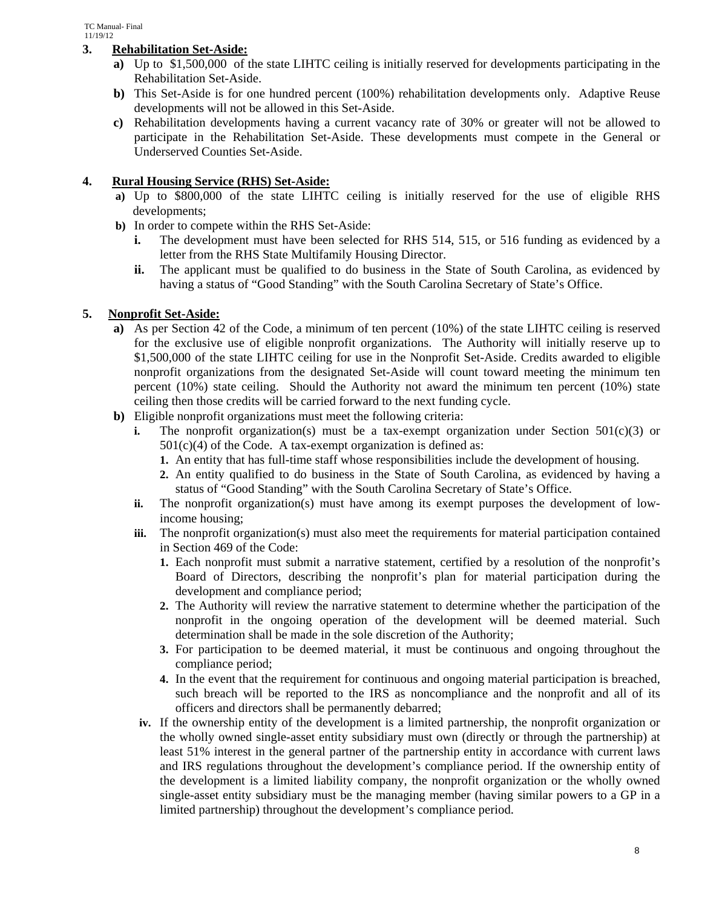# **3. Rehabilitation Set-Aside:**

- **a)** Up to \$1,500,000 of the state LIHTC ceiling is initially reserved for developments participating in the Rehabilitation Set-Aside.
- **b)** This Set-Aside is for one hundred percent (100%) rehabilitation developments only. Adaptive Reuse developments will not be allowed in this Set-Aside.
- **c)** Rehabilitation developments having a current vacancy rate of 30% or greater will not be allowed to participate in the Rehabilitation Set-Aside. These developments must compete in the General or Underserved Counties Set-Aside.

# **4. Rural Housing Service (RHS) Set-Aside:**

- **a)** Up to \$800,000 of the state LIHTC ceiling is initially reserved for the use of eligible RHS developments;
- **b)** In order to compete within the RHS Set-Aside:
	- **i.** The development must have been selected for RHS 514, 515, or 516 funding as evidenced by a letter from the RHS State Multifamily Housing Director.
	- **ii.** The applicant must be qualified to do business in the State of South Carolina, as evidenced by having a status of "Good Standing" with the South Carolina Secretary of State's Office.

# **5. Nonprofit Set-Aside:**

- **a)** As per Section 42 of the Code, a minimum of ten percent (10%) of the state LIHTC ceiling is reserved for the exclusive use of eligible nonprofit organizations. The Authority will initially reserve up to \$1,500,000 of the state LIHTC ceiling for use in the Nonprofit Set-Aside. Credits awarded to eligible nonprofit organizations from the designated Set-Aside will count toward meeting the minimum ten percent (10%) state ceiling. Should the Authority not award the minimum ten percent (10%) state ceiling then those credits will be carried forward to the next funding cycle.
- **b)** Eligible nonprofit organizations must meet the following criteria:
	- **i.** The nonprofit organization(s) must be a tax-exempt organization under Section  $501(c)(3)$  or  $501(c)(4)$  of the Code. A tax-exempt organization is defined as:
		- **1.** An entity that has full-time staff whose responsibilities include the development of housing.
		- **2.** An entity qualified to do business in the State of South Carolina, as evidenced by having a status of "Good Standing" with the South Carolina Secretary of State's Office.
	- **ii.** The nonprofit organization(s) must have among its exempt purposes the development of lowincome housing;
	- **iii.** The nonprofit organization(s) must also meet the requirements for material participation contained in Section 469 of the Code:
		- **1.** Each nonprofit must submit a narrative statement, certified by a resolution of the nonprofit's Board of Directors, describing the nonprofit's plan for material participation during the development and compliance period;
		- **2.** The Authority will review the narrative statement to determine whether the participation of the nonprofit in the ongoing operation of the development will be deemed material. Such determination shall be made in the sole discretion of the Authority;
		- **3.** For participation to be deemed material, it must be continuous and ongoing throughout the compliance period;
		- **4.** In the event that the requirement for continuous and ongoing material participation is breached, such breach will be reported to the IRS as noncompliance and the nonprofit and all of its officers and directors shall be permanently debarred;
	- **iv.** If the ownership entity of the development is a limited partnership, the nonprofit organization or the wholly owned single-asset entity subsidiary must own (directly or through the partnership) at least 51% interest in the general partner of the partnership entity in accordance with current laws and IRS regulations throughout the development's compliance period. If the ownership entity of the development is a limited liability company, the nonprofit organization or the wholly owned single-asset entity subsidiary must be the managing member (having similar powers to a GP in a limited partnership) throughout the development's compliance period.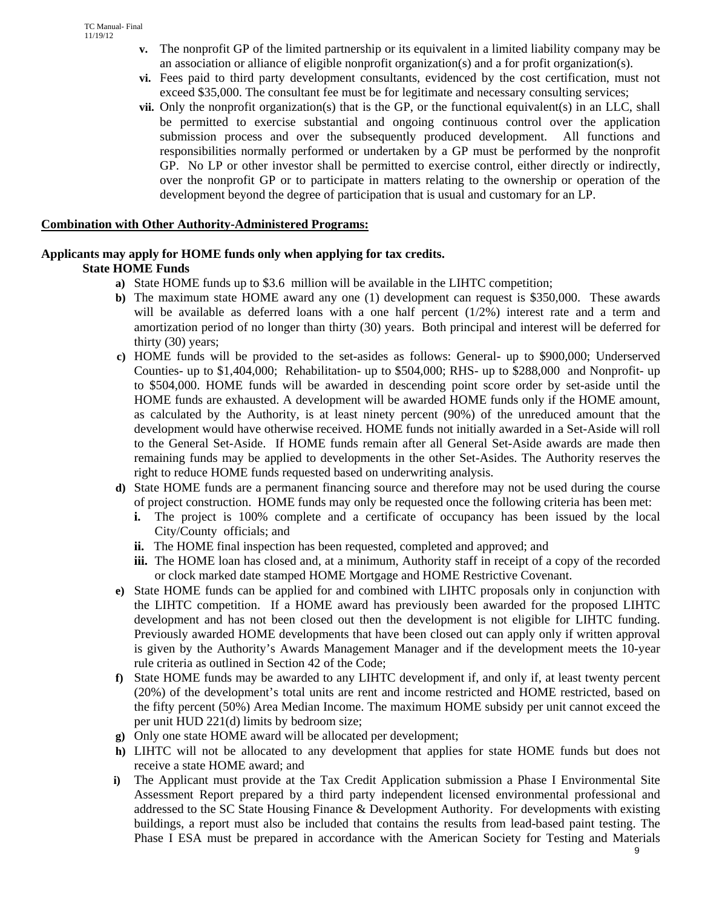- **v.** The nonprofit GP of the limited partnership or its equivalent in a limited liability company may be an association or alliance of eligible nonprofit organization(s) and a for profit organization(s).
- **vi.** Fees paid to third party development consultants, evidenced by the cost certification, must not exceed \$35,000. The consultant fee must be for legitimate and necessary consulting services;
- **vii.** Only the nonprofit organization(s) that is the GP, or the functional equivalent(s) in an LLC, shall be permitted to exercise substantial and ongoing continuous control over the application submission process and over the subsequently produced development. All functions and responsibilities normally performed or undertaken by a GP must be performed by the nonprofit GP. No LP or other investor shall be permitted to exercise control, either directly or indirectly, over the nonprofit GP or to participate in matters relating to the ownership or operation of the development beyond the degree of participation that is usual and customary for an LP.

#### **Combination with Other Authority-Administered Programs:**

#### **Applicants may apply for HOME funds only when applying for tax credits. State HOME Funds**

- **a)** State HOME funds up to \$3.6 million will be available in the LIHTC competition;
- **b)** The maximum state HOME award any one (1) development can request is \$350,000. These awards will be available as deferred loans with a one half percent  $(1/2%)$  interest rate and a term and amortization period of no longer than thirty (30) years. Both principal and interest will be deferred for thirty (30) years;
- **c)** HOME funds will be provided to the set-asides as follows: General- up to \$900,000; Underserved Counties- up to \$1,404,000; Rehabilitation- up to \$504,000; RHS- up to \$288,000 and Nonprofit- up to \$504,000. HOME funds will be awarded in descending point score order by set-aside until the HOME funds are exhausted. A development will be awarded HOME funds only if the HOME amount, as calculated by the Authority, is at least ninety percent (90%) of the unreduced amount that the development would have otherwise received. HOME funds not initially awarded in a Set-Aside will roll to the General Set-Aside. If HOME funds remain after all General Set-Aside awards are made then remaining funds may be applied to developments in the other Set-Asides. The Authority reserves the right to reduce HOME funds requested based on underwriting analysis.
- **d)** State HOME funds are a permanent financing source and therefore may not be used during the course of project construction. HOME funds may only be requested once the following criteria has been met:
	- **i.** The project is 100% complete and a certificate of occupancy has been issued by the local City/County officials; and
	- **ii.** The HOME final inspection has been requested, completed and approved; and
	- **iii.** The HOME loan has closed and, at a minimum, Authority staff in receipt of a copy of the recorded or clock marked date stamped HOME Mortgage and HOME Restrictive Covenant.
- **e)** State HOME funds can be applied for and combined with LIHTC proposals only in conjunction with the LIHTC competition. If a HOME award has previously been awarded for the proposed LIHTC development and has not been closed out then the development is not eligible for LIHTC funding. Previously awarded HOME developments that have been closed out can apply only if written approval is given by the Authority's Awards Management Manager and if the development meets the 10-year rule criteria as outlined in Section 42 of the Code;
- **f)** State HOME funds may be awarded to any LIHTC development if, and only if, at least twenty percent (20%) of the development's total units are rent and income restricted and HOME restricted, based on the fifty percent (50%) Area Median Income. The maximum HOME subsidy per unit cannot exceed the per unit HUD 221(d) limits by bedroom size;
- **g)** Only one state HOME award will be allocated per development;
- **h)** LIHTC will not be allocated to any development that applies for state HOME funds but does not receive a state HOME award; and
- **i)** The Applicant must provide at the Tax Credit Application submission a Phase I Environmental Site Assessment Report prepared by a third party independent licensed environmental professional and addressed to the SC State Housing Finance & Development Authority. For developments with existing buildings, a report must also be included that contains the results from lead-based paint testing. The Phase I ESA must be prepared in accordance with the American Society for Testing and Materials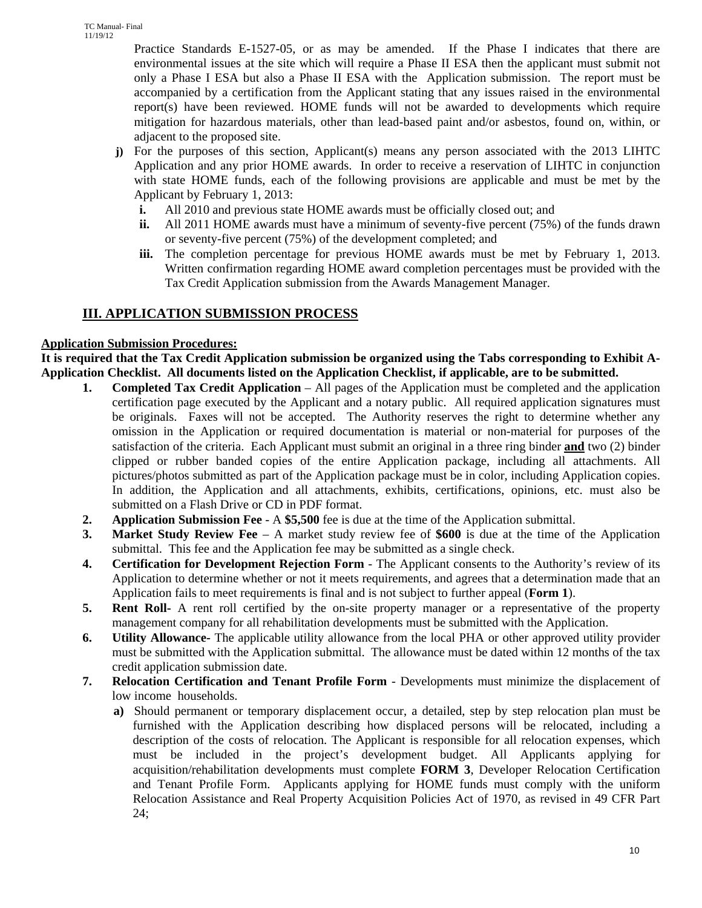Practice Standards E-1527-05, or as may be amended. If the Phase I indicates that there are environmental issues at the site which will require a Phase II ESA then the applicant must submit not only a Phase I ESA but also a Phase II ESA with the Application submission. The report must be accompanied by a certification from the Applicant stating that any issues raised in the environmental report(s) have been reviewed. HOME funds will not be awarded to developments which require mitigation for hazardous materials, other than lead-based paint and/or asbestos, found on, within, or adjacent to the proposed site.

- **j**) For the purposes of this section, Applicant(s) means any person associated with the 2013 LIHTC Application and any prior HOME awards. In order to receive a reservation of LIHTC in conjunction with state HOME funds, each of the following provisions are applicable and must be met by the Applicant by February 1, 2013:
	- **i.** All 2010 and previous state HOME awards must be officially closed out; and
	- **ii.** All 2011 HOME awards must have a minimum of seventy-five percent (75%) of the funds drawn or seventy-five percent (75%) of the development completed; and
	- **iii.** The completion percentage for previous HOME awards must be met by February 1, 2013. Written confirmation regarding HOME award completion percentages must be provided with the Tax Credit Application submission from the Awards Management Manager.

# **III. APPLICATION SUBMISSION PROCESS**

# **Application Submission Procedures:**

**It is required that the Tax Credit Application submission be organized using the Tabs corresponding to Exhibit A-Application Checklist. All documents listed on the Application Checklist, if applicable, are to be submitted.** 

- **1. Completed Tax Credit Application** All pages of the Application must be completed and the application certification page executed by the Applicant and a notary public. All required application signatures must be originals. Faxes will not be accepted. The Authority reserves the right to determine whether any omission in the Application or required documentation is material or non-material for purposes of the satisfaction of the criteria. Each Applicant must submit an original in a three ring binder **and** two (2) binder clipped or rubber banded copies of the entire Application package, including all attachments. All pictures/photos submitted as part of the Application package must be in color, including Application copies. In addition, the Application and all attachments, exhibits, certifications, opinions, etc. must also be submitted on a Flash Drive or CD in PDF format.
- **2. Application Submission Fee**  A **\$5,500** fee is due at the time of the Application submittal.
- **3. Market Study Review Fee** A market study review fee of **\$600** is due at the time of the Application submittal. This fee and the Application fee may be submitted as a single check.
- **4. Certification for Development Rejection Form** The Applicant consents to the Authority's review of its Application to determine whether or not it meets requirements, and agrees that a determination made that an Application fails to meet requirements is final and is not subject to further appeal (**Form 1**).
- **5. Rent Roll-** A rent roll certified by the on-site property manager or a representative of the property management company for all rehabilitation developments must be submitted with the Application.
- **6. Utility Allowance-** The applicable utility allowance from the local PHA or other approved utility provider must be submitted with the Application submittal. The allowance must be dated within 12 months of the tax credit application submission date.
- **7. Relocation Certification and Tenant Profile Form** Developments must minimize the displacement of low income households.
	- **a**) Should permanent or temporary displacement occur, a detailed, step by step relocation plan must be furnished with the Application describing how displaced persons will be relocated, including a description of the costs of relocation. The Applicant is responsible for all relocation expenses, which must be included in the project's development budget. All Applicants applying for acquisition/rehabilitation developments must complete **FORM 3**, Developer Relocation Certification and Tenant Profile Form. Applicants applying for HOME funds must comply with the uniform Relocation Assistance and Real Property Acquisition Policies Act of 1970, as revised in 49 CFR Part 24;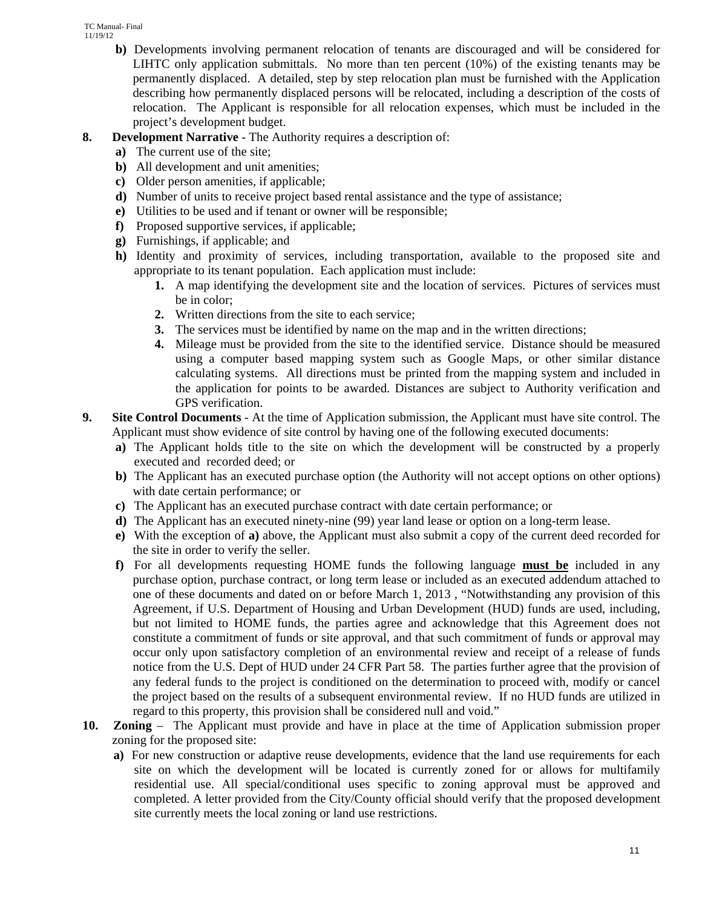- **b)** Developments involving permanent relocation of tenants are discouraged and will be considered for LIHTC only application submittals. No more than ten percent (10%) of the existing tenants may be permanently displaced. A detailed, step by step relocation plan must be furnished with the Application describing how permanently displaced persons will be relocated, including a description of the costs of relocation. The Applicant is responsible for all relocation expenses, which must be included in the project's development budget.
- **8. Development Narrative** The Authority requires a description of:
	- **a)** The current use of the site;
	- **b)** All development and unit amenities;
	- **c)** Older person amenities, if applicable;
	- **d)** Number of units to receive project based rental assistance and the type of assistance;
	- **e)** Utilities to be used and if tenant or owner will be responsible;
	- **f)** Proposed supportive services, if applicable;
	- **g)** Furnishings, if applicable; and
	- **h)** Identity and proximity of services, including transportation, available to the proposed site and appropriate to its tenant population. Each application must include:
		- **1.** A map identifying the development site and the location of services. Pictures of services must be in color;
		- **2.** Written directions from the site to each service;
		- **3.** The services must be identified by name on the map and in the written directions;
		- **4.** Mileage must be provided from the site to the identified service. Distance should be measured using a computer based mapping system such as Google Maps, or other similar distance calculating systems. All directions must be printed from the mapping system and included in the application for points to be awarded. Distances are subject to Authority verification and GPS verification.
- **9. Site Control Documents** At the time of Application submission, the Applicant must have site control. The Applicant must show evidence of site control by having one of the following executed documents:
	- **a)** The Applicant holds title to the site on which the development will be constructed by a properly executed and recorded deed; or
	- **b**) The Applicant has an executed purchase option (the Authority will not accept options on other options) with date certain performance; or
	- **c)** The Applicant has an executed purchase contract with date certain performance; or
	- **d**) The Applicant has an executed ninety-nine (99) year land lease or option on a long-term lease.
	- **e)** With the exception of **a)** above, the Applicant must also submit a copy of the current deed recorded for the site in order to verify the seller.
	- **f)** For all developments requesting HOME funds the following language **must be** included in any purchase option, purchase contract, or long term lease or included as an executed addendum attached to one of these documents and dated on or before March 1, 2013 , "Notwithstanding any provision of this Agreement, if U.S. Department of Housing and Urban Development (HUD) funds are used, including, but not limited to HOME funds, the parties agree and acknowledge that this Agreement does not constitute a commitment of funds or site approval, and that such commitment of funds or approval may occur only upon satisfactory completion of an environmental review and receipt of a release of funds notice from the U.S. Dept of HUD under 24 CFR Part 58. The parties further agree that the provision of any federal funds to the project is conditioned on the determination to proceed with, modify or cancel the project based on the results of a subsequent environmental review. If no HUD funds are utilized in regard to this property, this provision shall be considered null and void."
- **10. Zoning**  The Applicant must provide and have in place at the time of Application submission proper zoning for the proposed site:
	- **a)** For new construction or adaptive reuse developments, evidence that the land use requirements for each site on which the development will be located is currently zoned for or allows for multifamily residential use. All special/conditional uses specific to zoning approval must be approved and completed. A letter provided from the City/County official should verify that the proposed development site currently meets the local zoning or land use restrictions.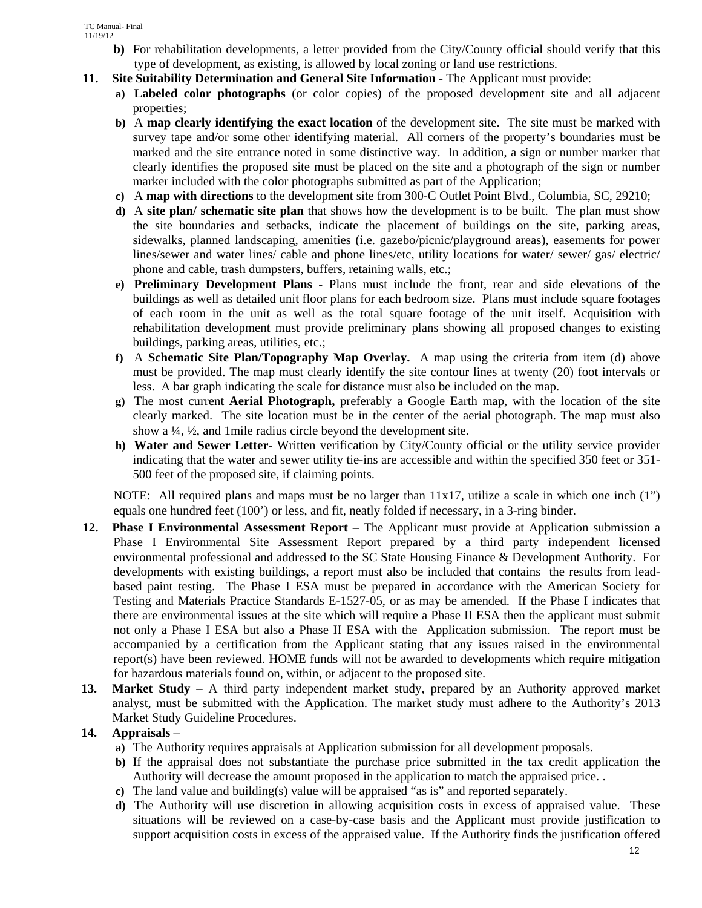- **b**) For rehabilitation developments, a letter provided from the City/County official should verify that this type of development, as existing, is allowed by local zoning or land use restrictions.
- **11. Site Suitability Determination and General Site Information** The Applicant must provide:
	- **a) Labeled color photographs** (or color copies) of the proposed development site and all adjacent properties;
	- **b)** A **map clearly identifying the exact location** of the development site. The site must be marked with survey tape and/or some other identifying material. All corners of the property's boundaries must be marked and the site entrance noted in some distinctive way. In addition, a sign or number marker that clearly identifies the proposed site must be placed on the site and a photograph of the sign or number marker included with the color photographs submitted as part of the Application;
	- **c)** A **map with directions** to the development site from 300-C Outlet Point Blvd., Columbia, SC, 29210;
	- **d)** A **site plan/ schematic site plan** that shows how the development is to be built. The plan must show the site boundaries and setbacks, indicate the placement of buildings on the site, parking areas, sidewalks, planned landscaping, amenities (i.e. gazebo/picnic/playground areas), easements for power lines/sewer and water lines/ cable and phone lines/etc, utility locations for water/ sewer/ gas/ electric/ phone and cable, trash dumpsters, buffers, retaining walls, etc.;
	- **e) Preliminary Development Plans** Plans must include the front, rear and side elevations of the buildings as well as detailed unit floor plans for each bedroom size. Plans must include square footages of each room in the unit as well as the total square footage of the unit itself. Acquisition with rehabilitation development must provide preliminary plans showing all proposed changes to existing buildings, parking areas, utilities, etc.;
	- **f)** A **Schematic Site Plan/Topography Map Overlay.** A map using the criteria from item (d) above must be provided. The map must clearly identify the site contour lines at twenty (20) foot intervals or less. A bar graph indicating the scale for distance must also be included on the map.
	- **g)** The most current **Aerial Photograph,** preferably a Google Earth map, with the location of the site clearly marked. The site location must be in the center of the aerial photograph. The map must also show a ¼, ½, and 1mile radius circle beyond the development site.
	- **h) Water and Sewer Letter** Written verification by City/County official or the utility service provider indicating that the water and sewer utility tie-ins are accessible and within the specified 350 feet or 351- 500 feet of the proposed site, if claiming points.

NOTE: All required plans and maps must be no larger than  $11x17$ , utilize a scale in which one inch  $(1")$ equals one hundred feet (100') or less, and fit, neatly folded if necessary, in a 3-ring binder.

- 12. Phase I Environmental Assessment Report The Applicant must provide at Application submission a Phase I Environmental Site Assessment Report prepared by a third party independent licensed environmental professional and addressed to the SC State Housing Finance & Development Authority. For developments with existing buildings, a report must also be included that contains the results from leadbased paint testing. The Phase I ESA must be prepared in accordance with the American Society for Testing and Materials Practice Standards E-1527-05, or as may be amended. If the Phase I indicates that there are environmental issues at the site which will require a Phase II ESA then the applicant must submit not only a Phase I ESA but also a Phase II ESA with the Application submission. The report must be accompanied by a certification from the Applicant stating that any issues raised in the environmental report(s) have been reviewed. HOME funds will not be awarded to developments which require mitigation for hazardous materials found on, within, or adjacent to the proposed site.
- **13. Market Study**  A third party independent market study, prepared by an Authority approved market analyst, must be submitted with the Application. The market study must adhere to the Authority's 2013 Market Study Guideline Procedures.

# **14. Appraisals** –

- **a)** The Authority requires appraisals at Application submission for all development proposals.
- **b)** If the appraisal does not substantiate the purchase price submitted in the tax credit application the Authority will decrease the amount proposed in the application to match the appraised price. .
- **c)** The land value and building(s) value will be appraised "as is" and reported separately.
- **d)** The Authority will use discretion in allowing acquisition costs in excess of appraised value. These situations will be reviewed on a case-by-case basis and the Applicant must provide justification to support acquisition costs in excess of the appraised value. If the Authority finds the justification offered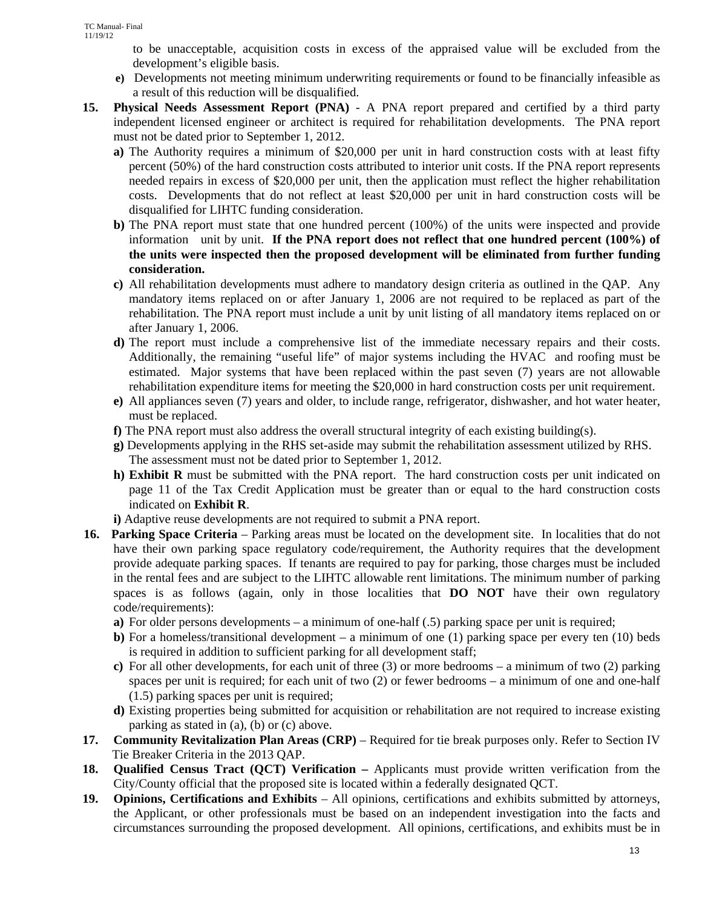to be unacceptable, acquisition costs in excess of the appraised value will be excluded from the development's eligible basis.

- **e)** Developments not meeting minimum underwriting requirements or found to be financially infeasible as a result of this reduction will be disqualified.
- **15. Physical Needs Assessment Report (PNA)** A PNA report prepared and certified by a third party independent licensed engineer or architect is required for rehabilitation developments. The PNA report must not be dated prior to September 1, 2012.
	- **a)** The Authority requires a minimum of \$20,000 per unit in hard construction costs with at least fifty percent (50%) of the hard construction costs attributed to interior unit costs. If the PNA report represents needed repairs in excess of \$20,000 per unit, then the application must reflect the higher rehabilitation costs. Developments that do not reflect at least \$20,000 per unit in hard construction costs will be disqualified for LIHTC funding consideration.
	- **b)** The PNA report must state that one hundred percent (100%) of the units were inspected and provide information unit by unit. **If the PNA report does not reflect that one hundred percent (100%) of the units were inspected then the proposed development will be eliminated from further funding consideration.**
	- **c)** All rehabilitation developments must adhere to mandatory design criteria as outlined in the QAP. Any mandatory items replaced on or after January 1, 2006 are not required to be replaced as part of the rehabilitation. The PNA report must include a unit by unit listing of all mandatory items replaced on or after January 1, 2006.
	- **d)** The report must include a comprehensive list of the immediate necessary repairs and their costs. Additionally, the remaining "useful life" of major systems including the HVAC and roofing must be estimated. Major systems that have been replaced within the past seven (7) years are not allowable rehabilitation expenditure items for meeting the \$20,000 in hard construction costs per unit requirement.
	- **e)** All appliances seven (7) years and older, to include range, refrigerator, dishwasher, and hot water heater, must be replaced.
	- **f)** The PNA report must also address the overall structural integrity of each existing building(s).
	- **g)** Developments applying in the RHS set-aside may submit the rehabilitation assessment utilized by RHS. The assessment must not be dated prior to September 1, 2012.
	- **h) Exhibit R** must be submitted with the PNA report. The hard construction costs per unit indicated on page 11 of the Tax Credit Application must be greater than or equal to the hard construction costs indicated on **Exhibit R**.
	- **i)** Adaptive reuse developments are not required to submit a PNA report.
- **16. Parking Space Criteria**  Parking areas must be located on the development site. In localities that do not have their own parking space regulatory code/requirement, the Authority requires that the development provide adequate parking spaces. If tenants are required to pay for parking, those charges must be included in the rental fees and are subject to the LIHTC allowable rent limitations. The minimum number of parking spaces is as follows (again, only in those localities that **DO NOT** have their own regulatory code/requirements):
	- **a)** For older persons developments a minimum of one-half (.5) parking space per unit is required;
	- **b**) For a homeless/transitional development a minimum of one (1) parking space per every ten (10) beds is required in addition to sufficient parking for all development staff;
	- **c)** For all other developments, for each unit of three (3) or more bedrooms a minimum of two (2) parking spaces per unit is required; for each unit of two (2) or fewer bedrooms – a minimum of one and one-half (1.5) parking spaces per unit is required;
	- **d)** Existing properties being submitted for acquisition or rehabilitation are not required to increase existing parking as stated in (a), (b) or (c) above.
- **17. Community Revitalization Plan Areas (CRP)** Required for tie break purposes only. Refer to Section IV Tie Breaker Criteria in the 2013 QAP.
- **18. Qualified Census Tract (QCT) Verification** Applicants must provide written verification from the City/County official that the proposed site is located within a federally designated QCT.
- **19. Opinions, Certifications and Exhibits** All opinions, certifications and exhibits submitted by attorneys, the Applicant, or other professionals must be based on an independent investigation into the facts and circumstances surrounding the proposed development. All opinions, certifications, and exhibits must be in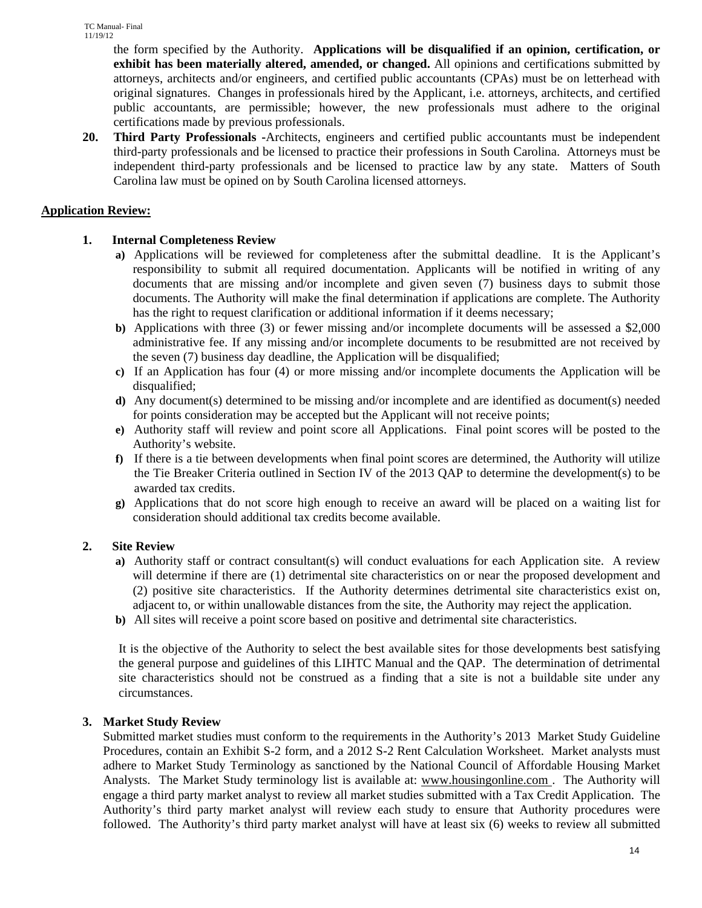the form specified by the Authority. **Applications will be disqualified if an opinion, certification, or exhibit has been materially altered, amended, or changed.** All opinions and certifications submitted by attorneys, architects and/or engineers, and certified public accountants (CPAs) must be on letterhead with original signatures. Changes in professionals hired by the Applicant, i.e. attorneys, architects, and certified public accountants, are permissible; however, the new professionals must adhere to the original certifications made by previous professionals.

**20. Third Party Professionals -**Architects, engineers and certified public accountants must be independent third-party professionals and be licensed to practice their professions in South Carolina. Attorneys must be independent third-party professionals and be licensed to practice law by any state. Matters of South Carolina law must be opined on by South Carolina licensed attorneys.

# **Application Review:**

# **1. Internal Completeness Review**

- **a)** Applications will be reviewed for completeness after the submittal deadline. It is the Applicant's responsibility to submit all required documentation. Applicants will be notified in writing of any documents that are missing and/or incomplete and given seven (7) business days to submit those documents. The Authority will make the final determination if applications are complete. The Authority has the right to request clarification or additional information if it deems necessary;
- **b)** Applications with three (3) or fewer missing and/or incomplete documents will be assessed a \$2,000 administrative fee. If any missing and/or incomplete documents to be resubmitted are not received by the seven (7) business day deadline, the Application will be disqualified;
- **c)** If an Application has four (4) or more missing and/or incomplete documents the Application will be disqualified;
- **d)** Any document(s) determined to be missing and/or incomplete and are identified as document(s) needed for points consideration may be accepted but the Applicant will not receive points;
- **e)** Authority staff will review and point score all Applications. Final point scores will be posted to the Authority's website.
- **f)** If there is a tie between developments when final point scores are determined, the Authority will utilize the Tie Breaker Criteria outlined in Section IV of the 2013 QAP to determine the development(s) to be awarded tax credits.
- **g)** Applications that do not score high enough to receive an award will be placed on a waiting list for consideration should additional tax credits become available.

# **2. Site Review**

- **a)** Authority staff or contract consultant(s) will conduct evaluations for each Application site. A review will determine if there are (1) detrimental site characteristics on or near the proposed development and (2) positive site characteristics. If the Authority determines detrimental site characteristics exist on, adjacent to, or within unallowable distances from the site, the Authority may reject the application.
- **b)** All sites will receive a point score based on positive and detrimental site characteristics.

It is the objective of the Authority to select the best available sites for those developments best satisfying the general purpose and guidelines of this LIHTC Manual and the QAP. The determination of detrimental site characteristics should not be construed as a finding that a site is not a buildable site under any circumstances.

# **3. Market Study Review**

Submitted market studies must conform to the requirements in the Authority's 2013 Market Study Guideline Procedures, contain an Exhibit S-2 form, and a 2012 S-2 Rent Calculation Worksheet. Market analysts must adhere to Market Study Terminology as sanctioned by the National Council of Affordable Housing Market Analysts. The Market Study terminology list is available at: www.housingonline.com . The Authority will engage a third party market analyst to review all market studies submitted with a Tax Credit Application. The Authority's third party market analyst will review each study to ensure that Authority procedures were followed. The Authority's third party market analyst will have at least six (6) weeks to review all submitted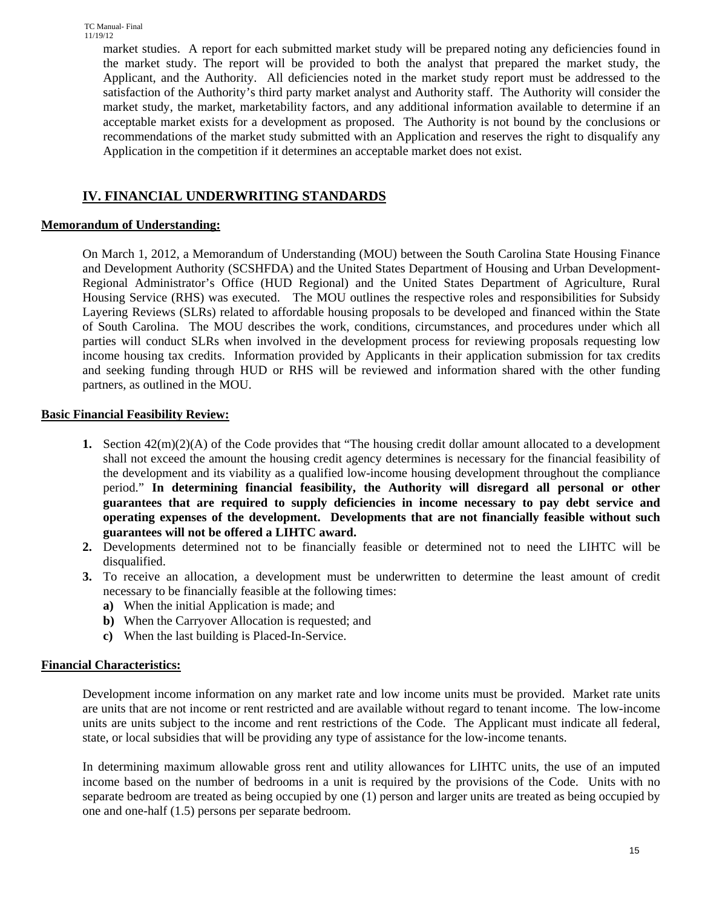market studies. A report for each submitted market study will be prepared noting any deficiencies found in the market study. The report will be provided to both the analyst that prepared the market study, the Applicant, and the Authority. All deficiencies noted in the market study report must be addressed to the satisfaction of the Authority's third party market analyst and Authority staff. The Authority will consider the market study, the market, marketability factors, and any additional information available to determine if an acceptable market exists for a development as proposed. The Authority is not bound by the conclusions or recommendations of the market study submitted with an Application and reserves the right to disqualify any Application in the competition if it determines an acceptable market does not exist.

# **IV. FINANCIAL UNDERWRITING STANDARDS**

# **Memorandum of Understanding:**

On March 1, 2012, a Memorandum of Understanding (MOU) between the South Carolina State Housing Finance and Development Authority (SCSHFDA) and the United States Department of Housing and Urban Development-Regional Administrator's Office (HUD Regional) and the United States Department of Agriculture, Rural Housing Service (RHS) was executed. The MOU outlines the respective roles and responsibilities for Subsidy Layering Reviews (SLRs) related to affordable housing proposals to be developed and financed within the State of South Carolina. The MOU describes the work, conditions, circumstances, and procedures under which all parties will conduct SLRs when involved in the development process for reviewing proposals requesting low income housing tax credits. Information provided by Applicants in their application submission for tax credits and seeking funding through HUD or RHS will be reviewed and information shared with the other funding partners, as outlined in the MOU.

# **Basic Financial Feasibility Review:**

- **1.** Section 42(m)(2)(A) of the Code provides that "The housing credit dollar amount allocated to a development shall not exceed the amount the housing credit agency determines is necessary for the financial feasibility of the development and its viability as a qualified low-income housing development throughout the compliance period." **In determining financial feasibility, the Authority will disregard all personal or other guarantees that are required to supply deficiencies in income necessary to pay debt service and operating expenses of the development. Developments that are not financially feasible without such guarantees will not be offered a LIHTC award.**
- **2.** Developments determined not to be financially feasible or determined not to need the LIHTC will be disqualified.
- **3.** To receive an allocation, a development must be underwritten to determine the least amount of credit necessary to be financially feasible at the following times:
	- **a)** When the initial Application is made; and
	- **b)** When the Carryover Allocation is requested; and
	- **c)** When the last building is Placed-In-Service.

# **Financial Characteristics:**

Development income information on any market rate and low income units must be provided. Market rate units are units that are not income or rent restricted and are available without regard to tenant income. The low-income units are units subject to the income and rent restrictions of the Code. The Applicant must indicate all federal, state, or local subsidies that will be providing any type of assistance for the low-income tenants.

In determining maximum allowable gross rent and utility allowances for LIHTC units, the use of an imputed income based on the number of bedrooms in a unit is required by the provisions of the Code. Units with no separate bedroom are treated as being occupied by one (1) person and larger units are treated as being occupied by one and one-half (1.5) persons per separate bedroom.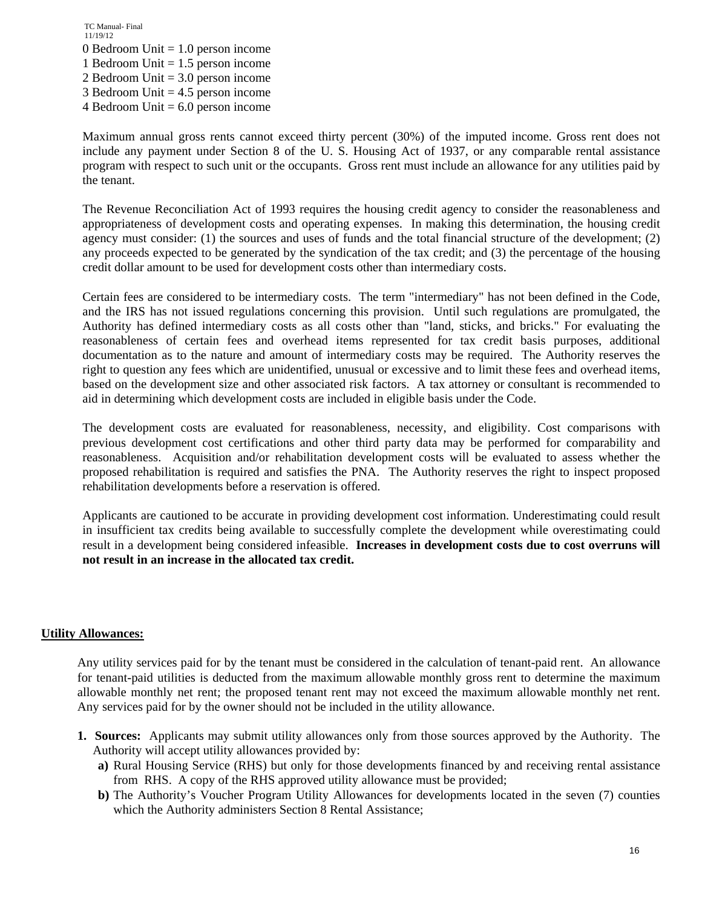TC Manual- Final 11/19/12 0 Bedroom Unit  $= 1.0$  person income 1 Bedroom Unit = 1.5 person income 2 Bedroom Unit = 3.0 person income 3 Bedroom Unit = 4.5 person income 4 Bedroom Unit  $= 6.0$  person income

Maximum annual gross rents cannot exceed thirty percent (30%) of the imputed income. Gross rent does not include any payment under Section 8 of the U. S. Housing Act of 1937, or any comparable rental assistance program with respect to such unit or the occupants. Gross rent must include an allowance for any utilities paid by the tenant.

The Revenue Reconciliation Act of 1993 requires the housing credit agency to consider the reasonableness and appropriateness of development costs and operating expenses. In making this determination, the housing credit agency must consider: (1) the sources and uses of funds and the total financial structure of the development; (2) any proceeds expected to be generated by the syndication of the tax credit; and (3) the percentage of the housing credit dollar amount to be used for development costs other than intermediary costs.

Certain fees are considered to be intermediary costs. The term "intermediary" has not been defined in the Code, and the IRS has not issued regulations concerning this provision. Until such regulations are promulgated, the Authority has defined intermediary costs as all costs other than "land, sticks, and bricks." For evaluating the reasonableness of certain fees and overhead items represented for tax credit basis purposes, additional documentation as to the nature and amount of intermediary costs may be required. The Authority reserves the right to question any fees which are unidentified, unusual or excessive and to limit these fees and overhead items, based on the development size and other associated risk factors. A tax attorney or consultant is recommended to aid in determining which development costs are included in eligible basis under the Code.

The development costs are evaluated for reasonableness, necessity, and eligibility. Cost comparisons with previous development cost certifications and other third party data may be performed for comparability and reasonableness. Acquisition and/or rehabilitation development costs will be evaluated to assess whether the proposed rehabilitation is required and satisfies the PNA. The Authority reserves the right to inspect proposed rehabilitation developments before a reservation is offered.

Applicants are cautioned to be accurate in providing development cost information. Underestimating could result in insufficient tax credits being available to successfully complete the development while overestimating could result in a development being considered infeasible. **Increases in development costs due to cost overruns will not result in an increase in the allocated tax credit.** 

### **Utility Allowances:**

Any utility services paid for by the tenant must be considered in the calculation of tenant-paid rent. An allowance for tenant-paid utilities is deducted from the maximum allowable monthly gross rent to determine the maximum allowable monthly net rent; the proposed tenant rent may not exceed the maximum allowable monthly net rent. Any services paid for by the owner should not be included in the utility allowance.

- **1. Sources:** Applicants may submit utility allowances only from those sources approved by the Authority. The Authority will accept utility allowances provided by:
	- **a)** Rural Housing Service (RHS) but only for those developments financed by and receiving rental assistance from RHS. A copy of the RHS approved utility allowance must be provided;
	- **b**) The Authority's Voucher Program Utility Allowances for developments located in the seven (7) counties which the Authority administers Section 8 Rental Assistance;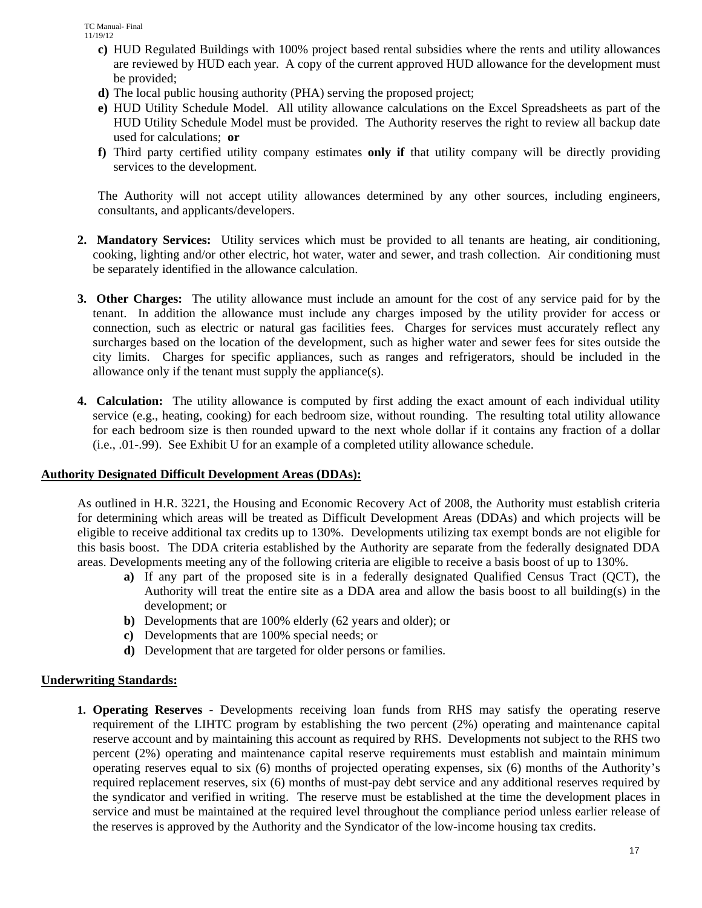- **c)** HUD Regulated Buildings with 100% project based rental subsidies where the rents and utility allowances are reviewed by HUD each year. A copy of the current approved HUD allowance for the development must be provided;
- **d)** The local public housing authority (PHA) serving the proposed project;
- **e)** HUD Utility Schedule Model. All utility allowance calculations on the Excel Spreadsheets as part of the HUD Utility Schedule Model must be provided. The Authority reserves the right to review all backup date used for calculations; **or**
- **f)** Third party certified utility company estimates **only if** that utility company will be directly providing services to the development.

The Authority will not accept utility allowances determined by any other sources, including engineers, consultants, and applicants/developers.

- **2. Mandatory Services:** Utility services which must be provided to all tenants are heating, air conditioning, cooking, lighting and/or other electric, hot water, water and sewer, and trash collection. Air conditioning must be separately identified in the allowance calculation.
- **3. Other Charges:** The utility allowance must include an amount for the cost of any service paid for by the tenant. In addition the allowance must include any charges imposed by the utility provider for access or connection, such as electric or natural gas facilities fees. Charges for services must accurately reflect any surcharges based on the location of the development, such as higher water and sewer fees for sites outside the city limits. Charges for specific appliances, such as ranges and refrigerators, should be included in the allowance only if the tenant must supply the appliance(s).
- **4. Calculation:** The utility allowance is computed by first adding the exact amount of each individual utility service (e.g., heating, cooking) for each bedroom size, without rounding. The resulting total utility allowance for each bedroom size is then rounded upward to the next whole dollar if it contains any fraction of a dollar (i.e., .01-.99). See Exhibit U for an example of a completed utility allowance schedule.

#### **Authority Designated Difficult Development Areas (DDAs):**

 As outlined in H.R. 3221, the Housing and Economic Recovery Act of 2008, the Authority must establish criteria for determining which areas will be treated as Difficult Development Areas (DDAs) and which projects will be eligible to receive additional tax credits up to 130%. Developments utilizing tax exempt bonds are not eligible for this basis boost. The DDA criteria established by the Authority are separate from the federally designated DDA areas. Developments meeting any of the following criteria are eligible to receive a basis boost of up to 130%.

- **a)** If any part of the proposed site is in a federally designated Qualified Census Tract (QCT), the Authority will treat the entire site as a DDA area and allow the basis boost to all building(s) in the development; or
- **b)** Developments that are 100% elderly (62 years and older); or
- **c)** Developments that are 100% special needs; or
- **d)** Development that are targeted for older persons or families.

# **Underwriting Standards:**

**1. Operating Reserves -** Developments receiving loan funds from RHS may satisfy the operating reserve requirement of the LIHTC program by establishing the two percent (2%) operating and maintenance capital reserve account and by maintaining this account as required by RHS. Developments not subject to the RHS two percent (2%) operating and maintenance capital reserve requirements must establish and maintain minimum operating reserves equal to six (6) months of projected operating expenses, six (6) months of the Authority's required replacement reserves, six (6) months of must-pay debt service and any additional reserves required by the syndicator and verified in writing. The reserve must be established at the time the development places in service and must be maintained at the required level throughout the compliance period unless earlier release of the reserves is approved by the Authority and the Syndicator of the low-income housing tax credits.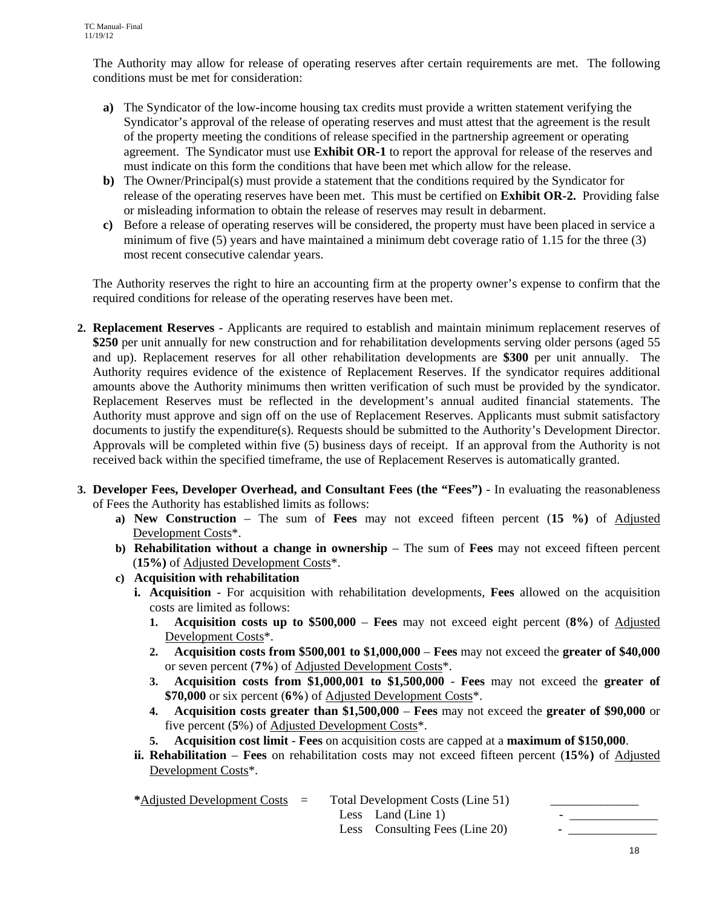The Authority may allow for release of operating reserves after certain requirements are met. The following conditions must be met for consideration:

- **a)** The Syndicator of the low-income housing tax credits must provide a written statement verifying the Syndicator's approval of the release of operating reserves and must attest that the agreement is the result of the property meeting the conditions of release specified in the partnership agreement or operating agreement. The Syndicator must use **Exhibit OR-1** to report the approval for release of the reserves and must indicate on this form the conditions that have been met which allow for the release.
- **b)** The Owner/Principal(s) must provide a statement that the conditions required by the Syndicator for release of the operating reserves have been met. This must be certified on **Exhibit OR-2.** Providing false or misleading information to obtain the release of reserves may result in debarment.
- **c)** Before a release of operating reserves will be considered, the property must have been placed in service a minimum of five (5) years and have maintained a minimum debt coverage ratio of 1.15 for the three (3) most recent consecutive calendar years.

The Authority reserves the right to hire an accounting firm at the property owner's expense to confirm that the required conditions for release of the operating reserves have been met.

- **2. Replacement Reserves** Applicants are required to establish and maintain minimum replacement reserves of **\$250** per unit annually for new construction and for rehabilitation developments serving older persons (aged 55 and up). Replacement reserves for all other rehabilitation developments are **\$300** per unit annually. The Authority requires evidence of the existence of Replacement Reserves. If the syndicator requires additional amounts above the Authority minimums then written verification of such must be provided by the syndicator. Replacement Reserves must be reflected in the development's annual audited financial statements. The Authority must approve and sign off on the use of Replacement Reserves. Applicants must submit satisfactory documents to justify the expenditure(s). Requests should be submitted to the Authority's Development Director. Approvals will be completed within five (5) business days of receipt. If an approval from the Authority is not received back within the specified timeframe, the use of Replacement Reserves is automatically granted.
- **3. Developer Fees, Developer Overhead, and Consultant Fees (the "Fees")**  In evaluating the reasonableness of Fees the Authority has established limits as follows:
	- **a) New Construction** The sum of **Fees** may not exceed fifteen percent (**15 %)** of Adjusted Development Costs\*.
	- **b) Rehabilitation without a change in ownership** The sum of **Fees** may not exceed fifteen percent (**15%)** of Adjusted Development Costs\*.
	- **c) Acquisition with rehabilitation** 
		- **i. Acquisition** For acquisition with rehabilitation developments, **Fees** allowed on the acquisition costs are limited as follows:
			- **1. Acquisition costs up to \$500,000 Fees** may not exceed eight percent (**8%**) of Adjusted Development Costs\*.
			- **2. Acquisition costs from \$500,001 to \$1,000,000** – **Fees** may not exceed the **greater of \$40,000** or seven percent (**7%**) of Adjusted Development Costs\*.
			- **3. Acquisition costs from \$1,000,001 to \$1,500,000 Fees** may not exceed the **greater of \$70,000** or six percent (**6%**) of Adjusted Development Costs\*.
			- **4. Acquisition costs greater than \$1,500,000 Fees** may not exceed the **greater of \$90,000** or five percent (**5**%) of Adjusted Development Costs\*.
			- **5. Acquisition cost limit Fees** on acquisition costs are capped at a **maximum of \$150,000**.
		- **ii. Rehabilitation Fees** on rehabilitation costs may not exceed fifteen percent (**15%)** of Adjusted Development Costs\*.

| *Adjusted Development Costs $=$ |  | Total Development Costs (Line 51) |                          |  |
|---------------------------------|--|-----------------------------------|--------------------------|--|
|                                 |  | Less Land (Line 1)                | $\overline{\phantom{0}}$ |  |
|                                 |  | Less Consulting Fees (Line 20)    | -                        |  |
|                                 |  |                                   |                          |  |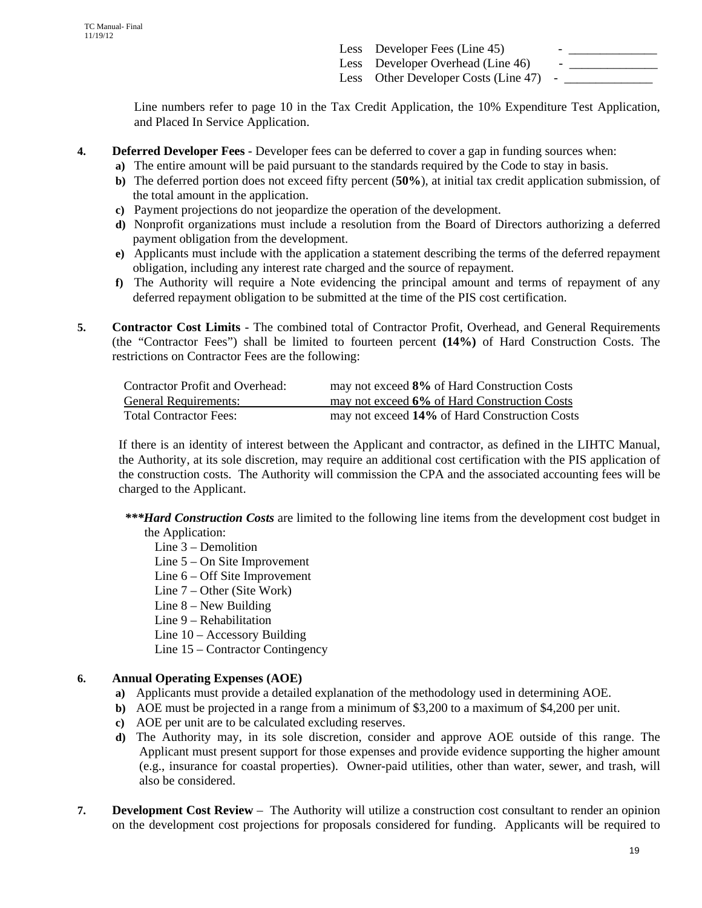Less Developer Fees (Line 45) Less Developer Overhead (Line 46) Less Other Developer Costs (Line 47)

Line numbers refer to page 10 in the Tax Credit Application, the 10% Expenditure Test Application, and Placed In Service Application.

### **4. Deferred Developer Fees** - Developer fees can be deferred to cover a gap in funding sources when:

- **a)** The entire amount will be paid pursuant to the standards required by the Code to stay in basis.
- **b)** The deferred portion does not exceed fifty percent (**50%**), at initial tax credit application submission, of the total amount in the application.
- **c)** Payment projections do not jeopardize the operation of the development.
- **d)** Nonprofit organizations must include a resolution from the Board of Directors authorizing a deferred payment obligation from the development.
- **e)** Applicants must include with the application a statement describing the terms of the deferred repayment obligation, including any interest rate charged and the source of repayment.
- **f)** The Authority will require a Note evidencing the principal amount and terms of repayment of any deferred repayment obligation to be submitted at the time of the PIS cost certification.
- **5. Contractor Cost Limits** The combined total of Contractor Profit, Overhead, and General Requirements (the "Contractor Fees") shall be limited to fourteen percent **(14%)** of Hard Construction Costs. The restrictions on Contractor Fees are the following:

| <b>Contractor Profit and Overhead:</b> | may not exceed 8% of Hard Construction Costs  |
|----------------------------------------|-----------------------------------------------|
| <b>General Requirements:</b>           | may not exceed 6% of Hard Construction Costs  |
| <b>Total Contractor Fees:</b>          | may not exceed 14% of Hard Construction Costs |

If there is an identity of interest between the Applicant and contractor, as defined in the LIHTC Manual, the Authority, at its sole discretion, may require an additional cost certification with the PIS application of the construction costs. The Authority will commission the CPA and the associated accounting fees will be charged to the Applicant.

 *\*\*\*Hard Construction Costs* are limited to the following line items from the development cost budget in the Application:

Line 3 – Demolition

- Line 5 On Site Improvement
- Line 6 Off Site Improvement
- Line 7 Other (Site Work)
- Line 8 New Building
- Line 9 Rehabilitation
- Line 10 Accessory Building
- Line 15 Contractor Contingency

# **6. Annual Operating Expenses (AOE)**

- **a)** Applicants must provide a detailed explanation of the methodology used in determining AOE.
- **b**) AOE must be projected in a range from a minimum of \$3,200 to a maximum of \$4,200 per unit.
- **c)** AOE per unit are to be calculated excluding reserves.
- **d)** The Authority may, in its sole discretion, consider and approve AOE outside of this range. The Applicant must present support for those expenses and provide evidence supporting the higher amount (e.g., insurance for coastal properties). Owner-paid utilities, other than water, sewer, and trash, will also be considered.
- **7. Development Cost Review** The Authority will utilize a construction cost consultant to render an opinion on the development cost projections for proposals considered for funding. Applicants will be required to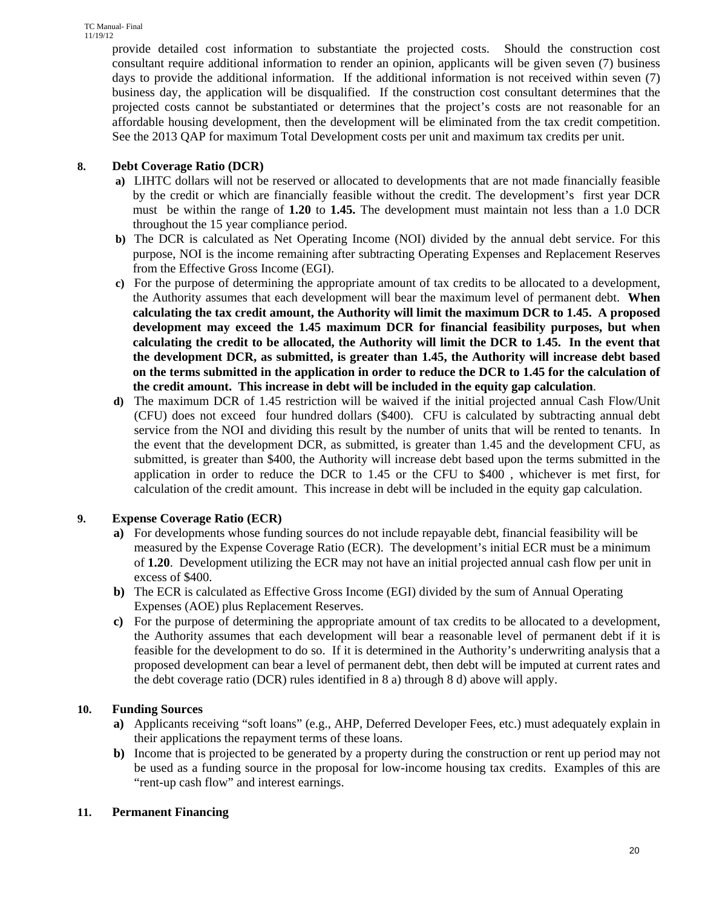provide detailed cost information to substantiate the projected costs. Should the construction cost consultant require additional information to render an opinion, applicants will be given seven (7) business days to provide the additional information. If the additional information is not received within seven (7) business day, the application will be disqualified. If the construction cost consultant determines that the projected costs cannot be substantiated or determines that the project's costs are not reasonable for an affordable housing development, then the development will be eliminated from the tax credit competition. See the 2013 QAP for maximum Total Development costs per unit and maximum tax credits per unit.

# **8. Debt Coverage Ratio (DCR)**

- **a)** LIHTC dollars will not be reserved or allocated to developments that are not made financially feasible by the credit or which are financially feasible without the credit. The development's first year DCR must be within the range of **1.20** to **1.45.** The development must maintain not less than a 1.0 DCR throughout the 15 year compliance period.
- **b)** The DCR is calculated as Net Operating Income (NOI) divided by the annual debt service. For this purpose, NOI is the income remaining after subtracting Operating Expenses and Replacement Reserves from the Effective Gross Income (EGI).
- **c)** For the purpose of determining the appropriate amount of tax credits to be allocated to a development, the Authority assumes that each development will bear the maximum level of permanent debt. **When calculating the tax credit amount, the Authority will limit the maximum DCR to 1.45. A proposed development may exceed the 1.45 maximum DCR for financial feasibility purposes, but when calculating the credit to be allocated, the Authority will limit the DCR to 1.45. In the event that the development DCR, as submitted, is greater than 1.45, the Authority will increase debt based on the terms submitted in the application in order to reduce the DCR to 1.45 for the calculation of the credit amount. This increase in debt will be included in the equity gap calculation**.
- **d)** The maximum DCR of 1.45 restriction will be waived if the initial projected annual Cash Flow/Unit (CFU) does not exceed four hundred dollars (\$400). CFU is calculated by subtracting annual debt service from the NOI and dividing this result by the number of units that will be rented to tenants. In the event that the development DCR, as submitted, is greater than 1.45 and the development CFU, as submitted, is greater than \$400, the Authority will increase debt based upon the terms submitted in the application in order to reduce the DCR to 1.45 or the CFU to \$400 , whichever is met first, for calculation of the credit amount. This increase in debt will be included in the equity gap calculation.

# **9. Expense Coverage Ratio (ECR)**

- **a)** For developments whose funding sources do not include repayable debt, financial feasibility will be measured by the Expense Coverage Ratio (ECR). The development's initial ECR must be a minimum of **1.20**. Development utilizing the ECR may not have an initial projected annual cash flow per unit in excess of \$400.
- **b)** The ECR is calculated as Effective Gross Income (EGI) divided by the sum of Annual Operating Expenses (AOE) plus Replacement Reserves.
- **c)** For the purpose of determining the appropriate amount of tax credits to be allocated to a development, the Authority assumes that each development will bear a reasonable level of permanent debt if it is feasible for the development to do so. If it is determined in the Authority's underwriting analysis that a proposed development can bear a level of permanent debt, then debt will be imputed at current rates and the debt coverage ratio (DCR) rules identified in 8 a) through 8 d) above will apply.

# **10. Funding Sources**

- **a)** Applicants receiving "soft loans" (e.g., AHP, Deferred Developer Fees, etc.) must adequately explain in their applications the repayment terms of these loans.
- **b)** Income that is projected to be generated by a property during the construction or rent up period may not be used as a funding source in the proposal for low-income housing tax credits. Examples of this are "rent-up cash flow" and interest earnings.

# **11. Permanent Financing**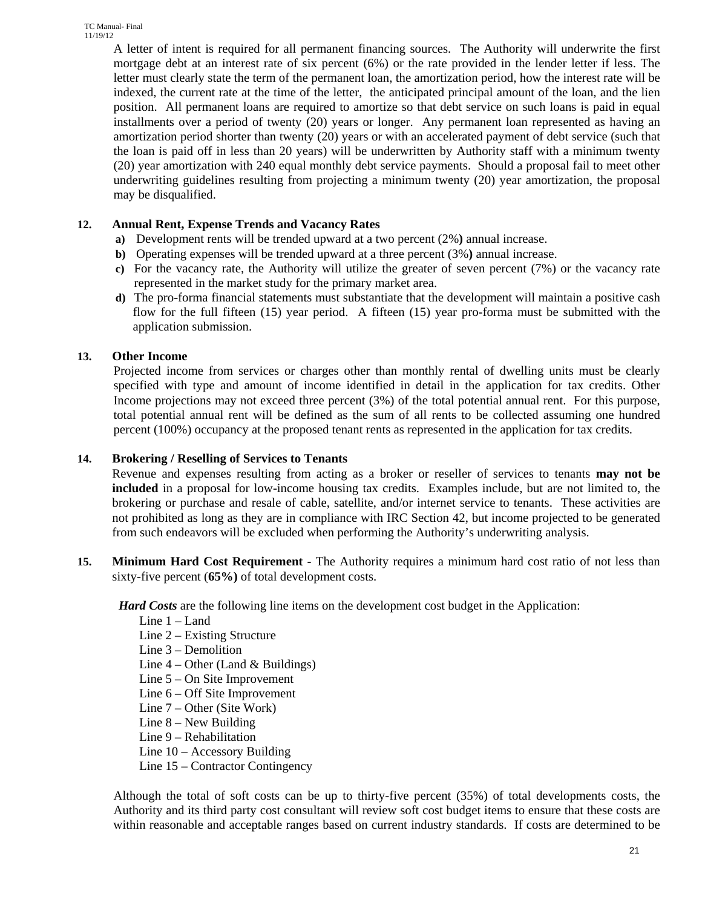A letter of intent is required for all permanent financing sources. The Authority will underwrite the first mortgage debt at an interest rate of six percent (6%) or the rate provided in the lender letter if less. The letter must clearly state the term of the permanent loan, the amortization period, how the interest rate will be indexed, the current rate at the time of the letter, the anticipated principal amount of the loan, and the lien position. All permanent loans are required to amortize so that debt service on such loans is paid in equal installments over a period of twenty (20) years or longer. Any permanent loan represented as having an amortization period shorter than twenty (20) years or with an accelerated payment of debt service (such that the loan is paid off in less than 20 years) will be underwritten by Authority staff with a minimum twenty (20) year amortization with 240 equal monthly debt service payments. Should a proposal fail to meet other underwriting guidelines resulting from projecting a minimum twenty (20) year amortization, the proposal may be disqualified.

### **12. Annual Rent, Expense Trends and Vacancy Rates**

- **a)** Development rents will be trended upward at a two percent (2%**)** annual increase.
- **b)** Operating expenses will be trended upward at a three percent (3%**)** annual increase.
- **c)** For the vacancy rate, the Authority will utilize the greater of seven percent (7%) or the vacancy rate represented in the market study for the primary market area.
- **d)** The pro-forma financial statements must substantiate that the development will maintain a positive cash flow for the full fifteen (15) year period. A fifteen (15) year pro-forma must be submitted with the application submission.

# **13. Other Income**

Projected income from services or charges other than monthly rental of dwelling units must be clearly specified with type and amount of income identified in detail in the application for tax credits. Other Income projections may not exceed three percent (3%) of the total potential annual rent. For this purpose, total potential annual rent will be defined as the sum of all rents to be collected assuming one hundred percent (100%) occupancy at the proposed tenant rents as represented in the application for tax credits.

### **14. Brokering / Reselling of Services to Tenants**

Revenue and expenses resulting from acting as a broker or reseller of services to tenants **may not be included** in a proposal for low-income housing tax credits. Examples include, but are not limited to, the brokering or purchase and resale of cable, satellite, and/or internet service to tenants. These activities are not prohibited as long as they are in compliance with IRC Section 42, but income projected to be generated from such endeavors will be excluded when performing the Authority's underwriting analysis.

**15. Minimum Hard Cost Requirement** - The Authority requires a minimum hard cost ratio of not less than sixty-five percent (**65%)** of total development costs.

*Hard Costs* are the following line items on the development cost budget in the Application:

- Line 1 Land
- Line 2 Existing Structure
- Line 3 Demolition
- Line  $4$  Other (Land  $\&$  Buildings)
- Line 5 On Site Improvement
- Line 6 Off Site Improvement
- Line 7 Other (Site Work)
- Line 8 New Building
- Line 9 Rehabilitation
- Line 10 Accessory Building
- Line 15 Contractor Contingency

Although the total of soft costs can be up to thirty-five percent (35%) of total developments costs, the Authority and its third party cost consultant will review soft cost budget items to ensure that these costs are within reasonable and acceptable ranges based on current industry standards. If costs are determined to be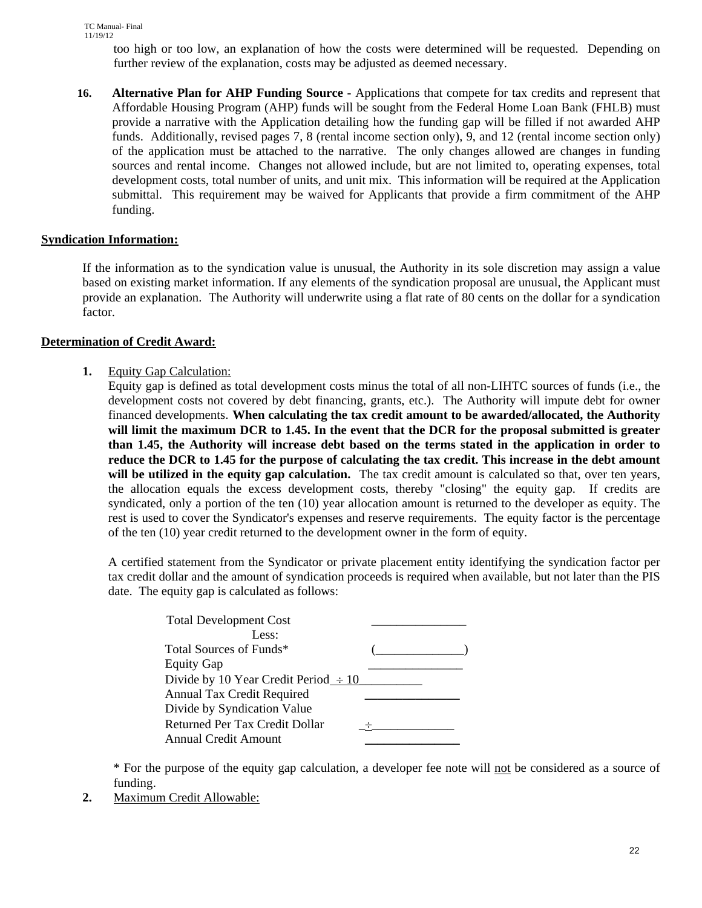too high or too low, an explanation of how the costs were determined will be requested. Depending on further review of the explanation, costs may be adjusted as deemed necessary.

**16. Alternative Plan for AHP Funding Source -** Applications that compete for tax credits and represent that Affordable Housing Program (AHP) funds will be sought from the Federal Home Loan Bank (FHLB) must provide a narrative with the Application detailing how the funding gap will be filled if not awarded AHP funds. Additionally, revised pages 7, 8 (rental income section only), 9, and 12 (rental income section only) of the application must be attached to the narrative. The only changes allowed are changes in funding sources and rental income. Changes not allowed include, but are not limited to, operating expenses, total development costs, total number of units, and unit mix. This information will be required at the Application submittal. This requirement may be waived for Applicants that provide a firm commitment of the AHP funding.

# **Syndication Information:**

If the information as to the syndication value is unusual, the Authority in its sole discretion may assign a value based on existing market information. If any elements of the syndication proposal are unusual, the Applicant must provide an explanation. The Authority will underwrite using a flat rate of 80 cents on the dollar for a syndication factor.

# **Determination of Credit Award:**

**1.** Equity Gap Calculation:

Equity gap is defined as total development costs minus the total of all non-LIHTC sources of funds (i.e., the development costs not covered by debt financing, grants, etc.). The Authority will impute debt for owner financed developments. **When calculating the tax credit amount to be awarded/allocated, the Authority will limit the maximum DCR to 1.45. In the event that the DCR for the proposal submitted is greater than 1.45, the Authority will increase debt based on the terms stated in the application in order to reduce the DCR to 1.45 for the purpose of calculating the tax credit. This increase in the debt amount**  will be utilized in the equity gap calculation. The tax credit amount is calculated so that, over ten years, the allocation equals the excess development costs, thereby "closing" the equity gap. If credits are syndicated, only a portion of the ten (10) year allocation amount is returned to the developer as equity. The rest is used to cover the Syndicator's expenses and reserve requirements. The equity factor is the percentage of the ten (10) year credit returned to the development owner in the form of equity.

A certified statement from the Syndicator or private placement entity identifying the syndication factor per tax credit dollar and the amount of syndication proceeds is required when available, but not later than the PIS date. The equity gap is calculated as follows:

| <b>Total Development Cost</b>             |  |
|-------------------------------------------|--|
| Less:                                     |  |
| Total Sources of Funds*                   |  |
| <b>Equity Gap</b>                         |  |
| Divide by 10 Year Credit Period $\div 10$ |  |
| <b>Annual Tax Credit Required</b>         |  |
| Divide by Syndication Value               |  |
| Returned Per Tax Credit Dollar            |  |
| Annual Credit Amount                      |  |

\* For the purpose of the equity gap calculation, a developer fee note will not be considered as a source of funding.

**2.** Maximum Credit Allowable: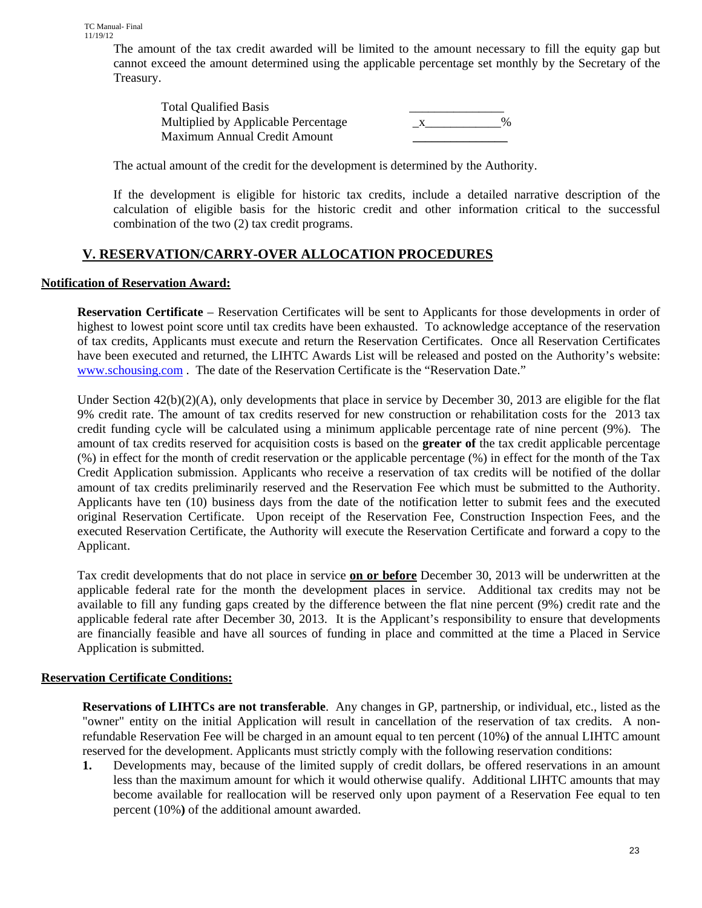The amount of the tax credit awarded will be limited to the amount necessary to fill the equity gap but cannot exceed the amount determined using the applicable percentage set monthly by the Secretary of the Treasury.

 Total Qualified Basis \_\_\_\_\_\_\_\_\_\_\_\_\_\_\_ Multiplied by Applicable Percentage  $\frac{1}{x}$ Maximum Annual Credit Amount

The actual amount of the credit for the development is determined by the Authority.

If the development is eligible for historic tax credits, include a detailed narrative description of the calculation of eligible basis for the historic credit and other information critical to the successful combination of the two (2) tax credit programs.

# **V. RESERVATION/CARRY-OVER ALLOCATION PROCEDURES**

#### **Notification of Reservation Award:**

**Reservation Certificate** – Reservation Certificates will be sent to Applicants for those developments in order of highest to lowest point score until tax credits have been exhausted. To acknowledge acceptance of the reservation of tax credits, Applicants must execute and return the Reservation Certificates. Once all Reservation Certificates have been executed and returned, the LIHTC Awards List will be released and posted on the Authority's website: www.schousing.com . The date of the Reservation Certificate is the "Reservation Date."

Under Section  $42(b)(2)(A)$ , only developments that place in service by December 30, 2013 are eligible for the flat 9% credit rate. The amount of tax credits reserved for new construction or rehabilitation costs for the 2013 tax credit funding cycle will be calculated using a minimum applicable percentage rate of nine percent (9%). The amount of tax credits reserved for acquisition costs is based on the **greater of** the tax credit applicable percentage (%) in effect for the month of credit reservation or the applicable percentage (%) in effect for the month of the Tax Credit Application submission. Applicants who receive a reservation of tax credits will be notified of the dollar amount of tax credits preliminarily reserved and the Reservation Fee which must be submitted to the Authority. Applicants have ten (10) business days from the date of the notification letter to submit fees and the executed original Reservation Certificate. Upon receipt of the Reservation Fee, Construction Inspection Fees, and the executed Reservation Certificate, the Authority will execute the Reservation Certificate and forward a copy to the Applicant.

Tax credit developments that do not place in service **on or before** December 30, 2013 will be underwritten at the applicable federal rate for the month the development places in service. Additional tax credits may not be available to fill any funding gaps created by the difference between the flat nine percent (9%) credit rate and the applicable federal rate after December 30, 2013. It is the Applicant's responsibility to ensure that developments are financially feasible and have all sources of funding in place and committed at the time a Placed in Service Application is submitted.

#### **Reservation Certificate Conditions:**

**Reservations of LIHTCs are not transferable**. Any changes in GP, partnership, or individual, etc., listed as the "owner" entity on the initial Application will result in cancellation of the reservation of tax credits. A nonrefundable Reservation Fee will be charged in an amount equal to ten percent (10%**)** of the annual LIHTC amount reserved for the development. Applicants must strictly comply with the following reservation conditions:

**1.** Developments may, because of the limited supply of credit dollars, be offered reservations in an amount less than the maximum amount for which it would otherwise qualify. Additional LIHTC amounts that may become available for reallocation will be reserved only upon payment of a Reservation Fee equal to ten percent (10%**)** of the additional amount awarded.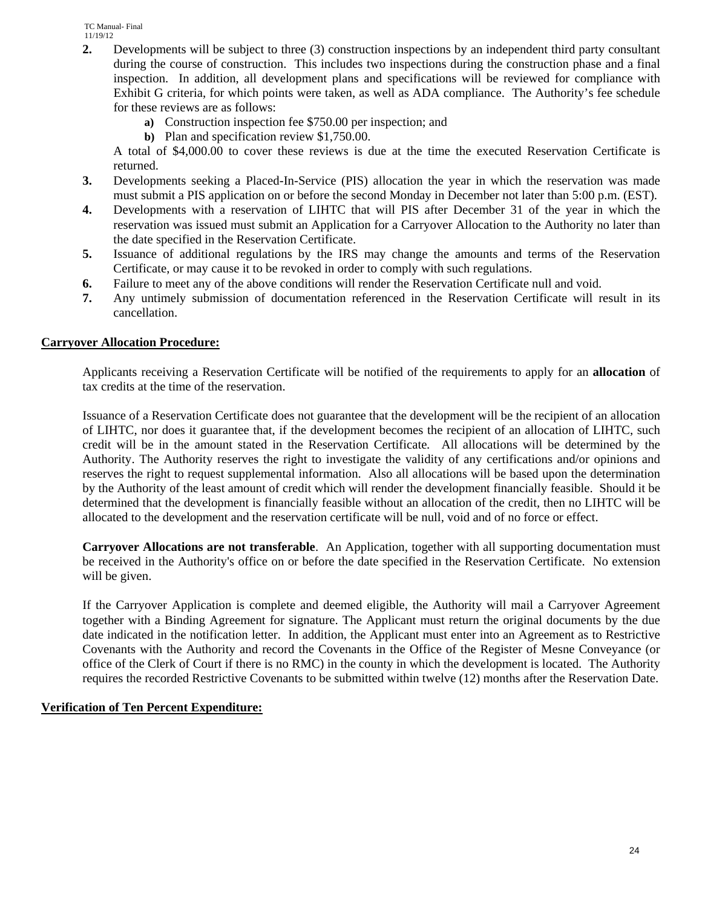- **2.** Developments will be subject to three (3) construction inspections by an independent third party consultant during the course of construction. This includes two inspections during the construction phase and a final inspection. In addition, all development plans and specifications will be reviewed for compliance with Exhibit G criteria, for which points were taken, as well as ADA compliance. The Authority's fee schedule for these reviews are as follows:
	- **a)** Construction inspection fee \$750.00 per inspection; and
	- **b)** Plan and specification review \$1,750.00.

A total of \$4,000.00 to cover these reviews is due at the time the executed Reservation Certificate is returned.

- **3.** Developments seeking a Placed-In-Service (PIS) allocation the year in which the reservation was made must submit a PIS application on or before the second Monday in December not later than 5:00 p.m. (EST).
- **4.** Developments with a reservation of LIHTC that will PIS after December 31 of the year in which the reservation was issued must submit an Application for a Carryover Allocation to the Authority no later than the date specified in the Reservation Certificate.
- **5.** Issuance of additional regulations by the IRS may change the amounts and terms of the Reservation Certificate, or may cause it to be revoked in order to comply with such regulations.
- **6.** Failure to meet any of the above conditions will render the Reservation Certificate null and void.
- **7.** Any untimely submission of documentation referenced in the Reservation Certificate will result in its cancellation.

### **Carryover Allocation Procedure:**

Applicants receiving a Reservation Certificate will be notified of the requirements to apply for an **allocation** of tax credits at the time of the reservation.

Issuance of a Reservation Certificate does not guarantee that the development will be the recipient of an allocation of LIHTC, nor does it guarantee that, if the development becomes the recipient of an allocation of LIHTC, such credit will be in the amount stated in the Reservation Certificate*.* All allocations will be determined by the Authority. The Authority reserves the right to investigate the validity of any certifications and/or opinions and reserves the right to request supplemental information. Also all allocations will be based upon the determination by the Authority of the least amount of credit which will render the development financially feasible. Should it be determined that the development is financially feasible without an allocation of the credit, then no LIHTC will be allocated to the development and the reservation certificate will be null, void and of no force or effect.

**Carryover Allocations are not transferable**. An Application, together with all supporting documentation must be received in the Authority's office on or before the date specified in the Reservation Certificate. No extension will be given.

If the Carryover Application is complete and deemed eligible, the Authority will mail a Carryover Agreement together with a Binding Agreement for signature. The Applicant must return the original documents by the due date indicated in the notification letter. In addition, the Applicant must enter into an Agreement as to Restrictive Covenants with the Authority and record the Covenants in the Office of the Register of Mesne Conveyance (or office of the Clerk of Court if there is no RMC) in the county in which the development is located. The Authority requires the recorded Restrictive Covenants to be submitted within twelve (12) months after the Reservation Date.

# **Verification of Ten Percent Expenditure:**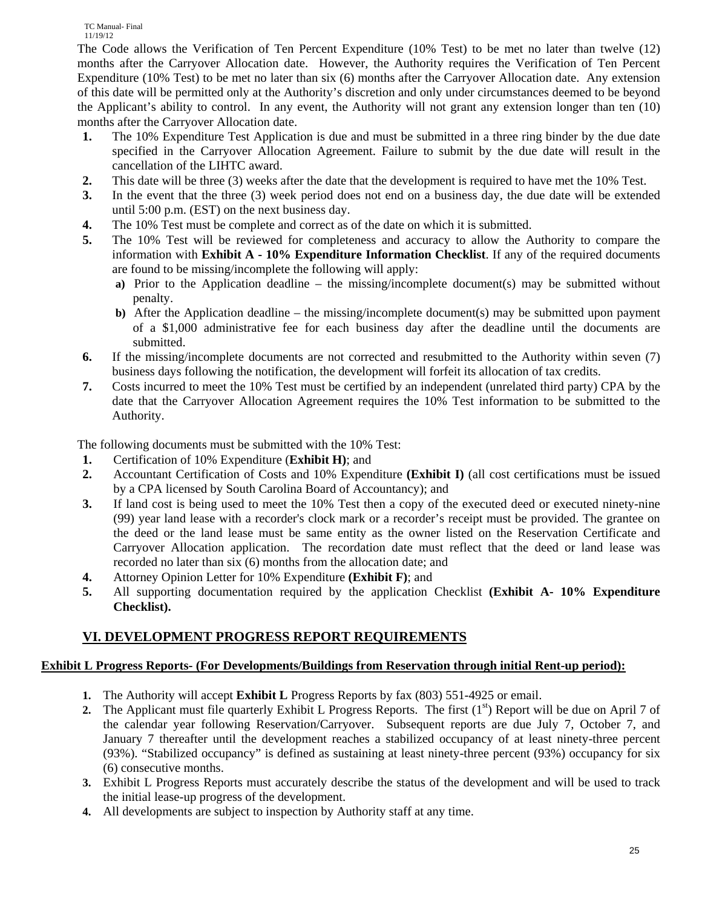The Code allows the Verification of Ten Percent Expenditure (10% Test) to be met no later than twelve (12) months after the Carryover Allocation date. However, the Authority requires the Verification of Ten Percent Expenditure (10% Test) to be met no later than six (6) months after the Carryover Allocation date.Any extension of this date will be permitted only at the Authority's discretion and only under circumstances deemed to be beyond the Applicant's ability to control. In any event, the Authority will not grant any extension longer than ten (10) months after the Carryover Allocation date.

- **1.** The 10% Expenditure Test Application is due and must be submitted in a three ring binder by the due date specified in the Carryover Allocation Agreement. Failure to submit by the due date will result in the cancellation of the LIHTC award.
- **2.** This date will be three (3) weeks after the date that the development is required to have met the 10% Test.
- **3.** In the event that the three (3) week period does not end on a business day, the due date will be extended until 5:00 p.m. (EST) on the next business day.
- **4.** The 10% Test must be complete and correct as of the date on which it is submitted.
- **5.** The 10% Test will be reviewed for completeness and accuracy to allow the Authority to compare the information with **Exhibit A - 10% Expenditure Information Checklist**. If any of the required documents are found to be missing/incomplete the following will apply:
	- **a)** Prior to the Application deadline the missing/incomplete document(s) may be submitted without penalty.
	- **b**) After the Application deadline the missing/incomplete document(s) may be submitted upon payment of a \$1,000 administrative fee for each business day after the deadline until the documents are submitted.
- **6.** If the missing/incomplete documents are not corrected and resubmitted to the Authority within seven (7) business days following the notification, the development will forfeit its allocation of tax credits.
- **7.** Costs incurred to meet the 10% Test must be certified by an independent (unrelated third party) CPA by the date that the Carryover Allocation Agreement requires the 10% Test information to be submitted to the Authority.

The following documents must be submitted with the 10% Test:

- **1.** Certification of 10% Expenditure (**Exhibit H)**; and
- **2.** Accountant Certification of Costs and 10% Expenditure **(Exhibit I)** (all cost certifications must be issued by a CPA licensed by South Carolina Board of Accountancy); and
- **3.** If land cost is being used to meet the 10% Test then a copy of the executed deed or executed ninety-nine (99) year land lease with a recorder's clock mark or a recorder's receipt must be provided. The grantee on the deed or the land lease must be same entity as the owner listed on the Reservation Certificate and Carryover Allocation application. The recordation date must reflect that the deed or land lease was recorded no later than six (6) months from the allocation date; and
- **4.** Attorney Opinion Letter for 10% Expenditure **(Exhibit F)**; and
- **5.** All supporting documentation required by the application Checklist **(Exhibit A- 10% Expenditure Checklist).**

# **VI. DEVELOPMENT PROGRESS REPORT REQUIREMENTS**

# **Exhibit L Progress Reports- (For Developments/Buildings from Reservation through initial Rent-up period):**

- **1.** The Authority will accept **Exhibit L** Progress Reports by fax (803) 551-4925 or email.
- **2.** The Applicant must file quarterly Exhibit L Progress Reports. The first  $(1<sup>st</sup>)$  Report will be due on April 7 of the calendar year following Reservation/Carryover. Subsequent reports are due July 7, October 7, and January 7 thereafter until the development reaches a stabilized occupancy of at least ninety-three percent (93%). "Stabilized occupancy" is defined as sustaining at least ninety-three percent (93%) occupancy for six (6) consecutive months.
- **3.** Exhibit L Progress Reports must accurately describe the status of the development and will be used to track the initial lease-up progress of the development.
- **4.** All developments are subject to inspection by Authority staff at any time.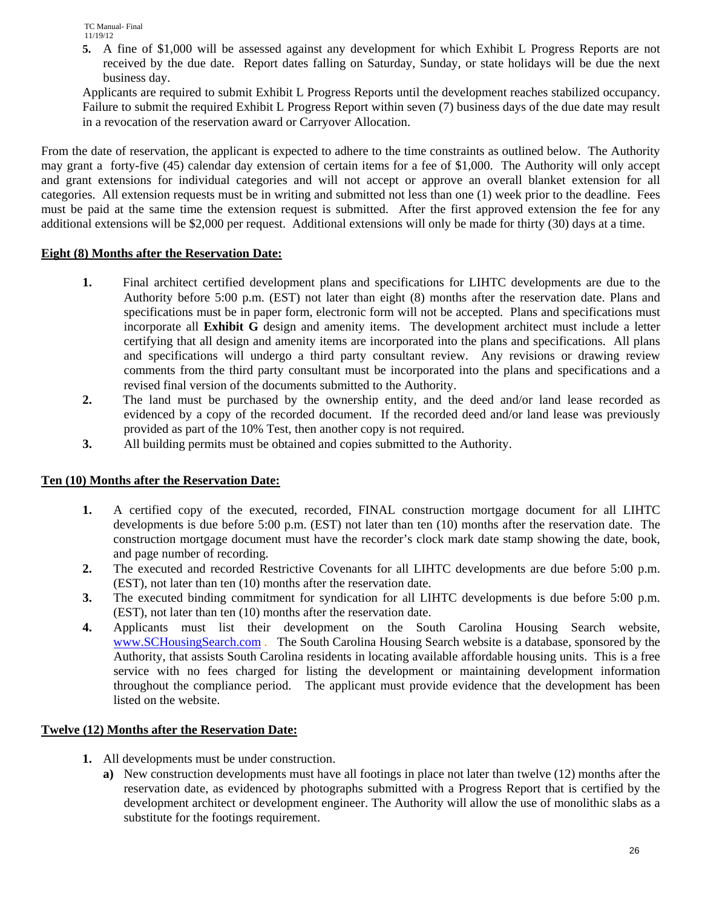**5.** A fine of \$1,000 will be assessed against any development for which Exhibit L Progress Reports are not received by the due date. Report dates falling on Saturday, Sunday, or state holidays will be due the next business day.

Applicants are required to submit Exhibit L Progress Reports until the development reaches stabilized occupancy. Failure to submit the required Exhibit L Progress Report within seven (7) business days of the due date may result in a revocation of the reservation award or Carryover Allocation.

From the date of reservation, the applicant is expected to adhere to the time constraints as outlined below. The Authority may grant a forty-five (45) calendar day extension of certain items for a fee of \$1,000. The Authority will only accept and grant extensions for individual categories and will not accept or approve an overall blanket extension for all categories. All extension requests must be in writing and submitted not less than one (1) week prior to the deadline. Fees must be paid at the same time the extension request is submitted. After the first approved extension the fee for any additional extensions will be \$2,000 per request. Additional extensions will only be made for thirty (30) days at a time.

### **Eight (8) Months after the Reservation Date:**

- **1.** Final architect certified development plans and specifications for LIHTC developments are due to the Authority before 5:00 p.m. (EST) not later than eight (8) months after the reservation date. Plans and specifications must be in paper form, electronic form will not be accepted. Plans and specifications must incorporate all **Exhibit G** design and amenity items. The development architect must include a letter certifying that all design and amenity items are incorporated into the plans and specifications. All plans and specifications will undergo a third party consultant review. Any revisions or drawing review comments from the third party consultant must be incorporated into the plans and specifications and a revised final version of the documents submitted to the Authority.
- **2.** The land must be purchased by the ownership entity, and the deed and/or land lease recorded as evidenced by a copy of the recorded document. If the recorded deed and/or land lease was previously provided as part of the 10% Test, then another copy is not required.
- **3.** All building permits must be obtained and copies submitted to the Authority.

#### **Ten (10) Months after the Reservation Date:**

- **1.** A certified copy of the executed, recorded, FINAL construction mortgage document for all LIHTC developments is due before 5:00 p.m. (EST) not later than ten (10) months after the reservation date. The construction mortgage document must have the recorder's clock mark date stamp showing the date, book, and page number of recording.
- **2.** The executed and recorded Restrictive Covenants for all LIHTC developments are due before 5:00 p.m. (EST), not later than ten (10) months after the reservation date.
- **3.** The executed binding commitment for syndication for all LIHTC developments is due before 5:00 p.m. (EST), not later than ten (10) months after the reservation date.
- **4.** Applicants must list their development on the South Carolina Housing Search website, www.SCHousingSearch.com . The South Carolina Housing Search website is a database, sponsored by the Authority, that assists South Carolina residents in locating available affordable housing units. This is a free service with no fees charged for listing the development or maintaining development information throughout the compliance period. The applicant must provide evidence that the development has been listed on the website.

#### **Twelve (12) Months after the Reservation Date:**

- **1.** All developments must be under construction.
	- **a)** New construction developments must have all footings in place not later than twelve (12) months after the reservation date, as evidenced by photographs submitted with a Progress Report that is certified by the development architect or development engineer. The Authority will allow the use of monolithic slabs as a substitute for the footings requirement.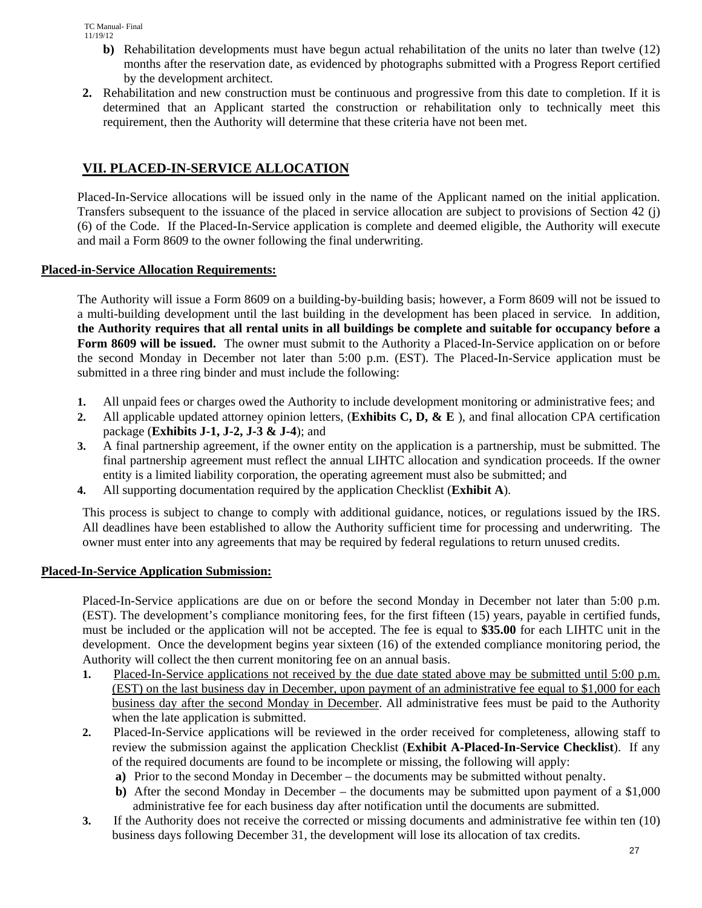- **b)** Rehabilitation developments must have begun actual rehabilitation of the units no later than twelve (12) months after the reservation date, as evidenced by photographs submitted with a Progress Report certified by the development architect.
- **2.** Rehabilitation and new construction must be continuous and progressive from this date to completion. If it is determined that an Applicant started the construction or rehabilitation only to technically meet this requirement, then the Authority will determine that these criteria have not been met.

# **VII. PLACED-IN-SERVICE ALLOCATION**

Placed-In-Service allocations will be issued only in the name of the Applicant named on the initial application. Transfers subsequent to the issuance of the placed in service allocation are subject to provisions of Section 42 (j) (6) of the Code. If the Placed-In-Service application is complete and deemed eligible, the Authority will execute and mail a Form 8609 to the owner following the final underwriting.

### **Placed-in-Service Allocation Requirements:**

The Authority will issue a Form 8609 on a building-by-building basis; however, a Form 8609 will not be issued to a multi-building development until the last building in the development has been placed in service*.* In addition, **the Authority requires that all rental units in all buildings be complete and suitable for occupancy before a Form 8609 will be issued.** The owner must submit to the Authority a Placed-In-Service application on or before the second Monday in December not later than 5:00 p.m. (EST). The Placed-In-Service application must be submitted in a three ring binder and must include the following:

- **1.** All unpaid fees or charges owed the Authority to include development monitoring or administrative fees; and
- **2.** All applicable updated attorney opinion letters, (**Exhibits C, D, & E** ), and final allocation CPA certification package (**Exhibits J-1, J-2, J-3 & J-4**); and
- **3.** A final partnership agreement, if the owner entity on the application is a partnership, must be submitted. The final partnership agreement must reflect the annual LIHTC allocation and syndication proceeds. If the owner entity is a limited liability corporation, the operating agreement must also be submitted; and
- **4.** All supporting documentation required by the application Checklist (**Exhibit A**).

This process is subject to change to comply with additional guidance, notices, or regulations issued by the IRS. All deadlines have been established to allow the Authority sufficient time for processing and underwriting. The owner must enter into any agreements that may be required by federal regulations to return unused credits.

# **Placed-In-Service Application Submission:**

Placed-In-Service applications are due on or before the second Monday in December not later than 5:00 p.m. (EST). The development's compliance monitoring fees, for the first fifteen (15) years, payable in certified funds, must be included or the application will not be accepted. The fee is equal to **\$35.00** for each LIHTC unit in the development. Once the development begins year sixteen (16) of the extended compliance monitoring period, the Authority will collect the then current monitoring fee on an annual basis.

- **1.** Placed-In-Service applications not received by the due date stated above may be submitted until 5:00 p.m. (EST) on the last business day in December, upon payment of an administrative fee equal to \$1,000 for each business day after the second Monday in December. All administrative fees must be paid to the Authority when the late application is submitted.
- **2.** Placed-In-Service applications will be reviewed in the order received for completeness, allowing staff to review the submission against the application Checklist (**Exhibit A-Placed-In-Service Checklist**). If any of the required documents are found to be incomplete or missing, the following will apply:
	- **a)** Prior to the second Monday in December the documents may be submitted without penalty.
	- **b**) After the second Monday in December the documents may be submitted upon payment of a \$1,000 administrative fee for each business day after notification until the documents are submitted.
- **3.** If the Authority does not receive the corrected or missing documents and administrative fee within ten (10) business days following December 31, the development will lose its allocation of tax credits.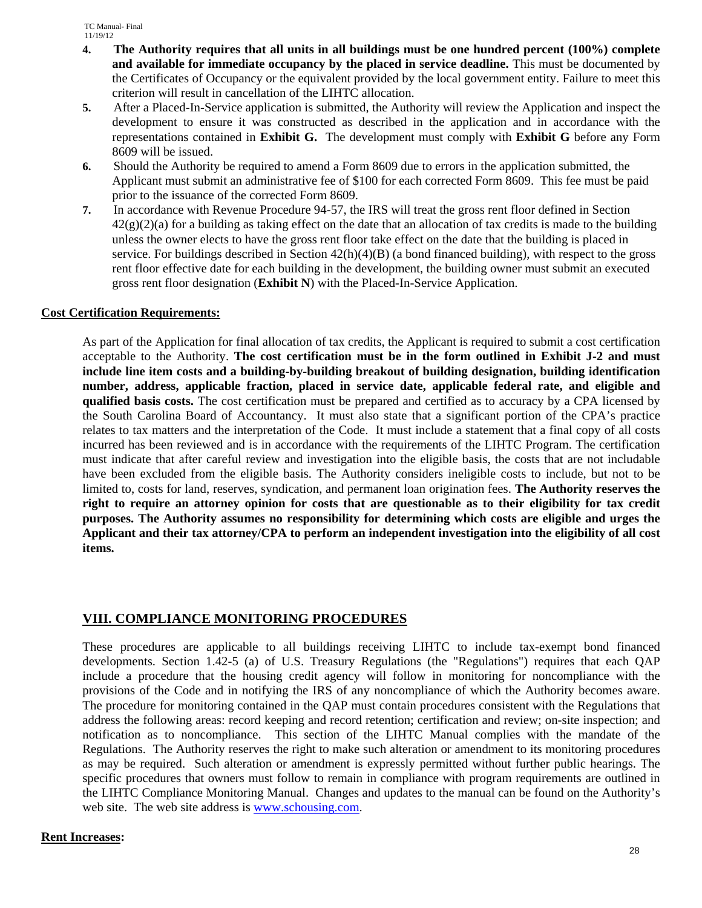- **4. The Authority requires that all units in all buildings must be one hundred percent (100%) complete and available for immediate occupancy by the placed in service deadline.** This must be documented by the Certificates of Occupancy or the equivalent provided by the local government entity. Failure to meet this criterion will result in cancellation of the LIHTC allocation.
- **5.** After a Placed-In-Service application is submitted, the Authority will review the Application and inspect the development to ensure it was constructed as described in the application and in accordance with the representations contained in **Exhibit G.** The development must comply with **Exhibit G** before any Form 8609 will be issued.
- **6.** Should the Authority be required to amend a Form 8609 due to errors in the application submitted, the Applicant must submit an administrative fee of \$100 for each corrected Form 8609. This fee must be paid prior to the issuance of the corrected Form 8609.
- **7.** In accordance with Revenue Procedure 94-57, the IRS will treat the gross rent floor defined in Section  $42(g)(2)(a)$  for a building as taking effect on the date that an allocation of tax credits is made to the building unless the owner elects to have the gross rent floor take effect on the date that the building is placed in service. For buildings described in Section  $42(h)(4)(B)$  (a bond financed building), with respect to the gross rent floor effective date for each building in the development, the building owner must submit an executed gross rent floor designation (**Exhibit N**) with the Placed-In-Service Application.

### **Cost Certification Requirements:**

As part of the Application for final allocation of tax credits, the Applicant is required to submit a cost certification acceptable to the Authority. **The cost certification must be in the form outlined in Exhibit J-2 and must include line item costs and a building-by-building breakout of building designation, building identification number, address, applicable fraction, placed in service date, applicable federal rate, and eligible and qualified basis costs.** The cost certification must be prepared and certified as to accuracy by a CPA licensed by the South Carolina Board of Accountancy. It must also state that a significant portion of the CPA's practice relates to tax matters and the interpretation of the Code. It must include a statement that a final copy of all costs incurred has been reviewed and is in accordance with the requirements of the LIHTC Program. The certification must indicate that after careful review and investigation into the eligible basis, the costs that are not includable have been excluded from the eligible basis. The Authority considers ineligible costs to include, but not to be limited to, costs for land, reserves, syndication, and permanent loan origination fees. **The Authority reserves the right to require an attorney opinion for costs that are questionable as to their eligibility for tax credit purposes. The Authority assumes no responsibility for determining which costs are eligible and urges the Applicant and their tax attorney/CPA to perform an independent investigation into the eligibility of all cost items.** 

# **VIII. COMPLIANCE MONITORING PROCEDURES**

These procedures are applicable to all buildings receiving LIHTC to include tax-exempt bond financed developments. Section 1.42-5 (a) of U.S. Treasury Regulations (the "Regulations") requires that each QAP include a procedure that the housing credit agency will follow in monitoring for noncompliance with the provisions of the Code and in notifying the IRS of any noncompliance of which the Authority becomes aware. The procedure for monitoring contained in the QAP must contain procedures consistent with the Regulations that address the following areas: record keeping and record retention; certification and review; on-site inspection; and notification as to noncompliance. This section of the LIHTC Manual complies with the mandate of the Regulations. The Authority reserves the right to make such alteration or amendment to its monitoring procedures as may be required. Such alteration or amendment is expressly permitted without further public hearings. The specific procedures that owners must follow to remain in compliance with program requirements are outlined in the LIHTC Compliance Monitoring Manual. Changes and updates to the manual can be found on the Authority's web site. The web site address is www.schousing.com.

#### **Rent Increases:**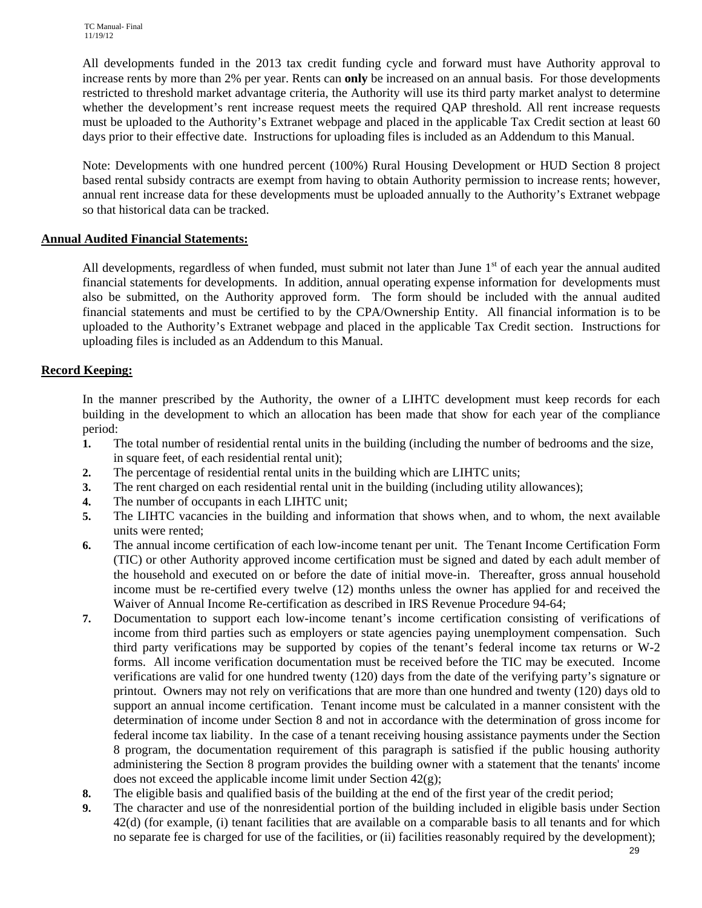All developments funded in the 2013 tax credit funding cycle and forward must have Authority approval to increase rents by more than 2% per year. Rents can **only** be increased on an annual basis. For those developments restricted to threshold market advantage criteria, the Authority will use its third party market analyst to determine whether the development's rent increase request meets the required QAP threshold. All rent increase requests must be uploaded to the Authority's Extranet webpage and placed in the applicable Tax Credit section at least 60 days prior to their effective date. Instructions for uploading files is included as an Addendum to this Manual.

Note: Developments with one hundred percent (100%) Rural Housing Development or HUD Section 8 project based rental subsidy contracts are exempt from having to obtain Authority permission to increase rents; however, annual rent increase data for these developments must be uploaded annually to the Authority's Extranet webpage so that historical data can be tracked.

### **Annual Audited Financial Statements:**

All developments, regardless of when funded, must submit not later than June  $1<sup>st</sup>$  of each year the annual audited financial statements for developments. In addition, annual operating expense information for developments must also be submitted, on the Authority approved form. The form should be included with the annual audited financial statements and must be certified to by the CPA/Ownership Entity. All financial information is to be uploaded to the Authority's Extranet webpage and placed in the applicable Tax Credit section. Instructions for uploading files is included as an Addendum to this Manual.

### **Record Keeping:**

In the manner prescribed by the Authority, the owner of a LIHTC development must keep records for each building in the development to which an allocation has been made that show for each year of the compliance period:

- **1.** The total number of residential rental units in the building (including the number of bedrooms and the size, in square feet, of each residential rental unit);
- **2.** The percentage of residential rental units in the building which are LIHTC units;
- **3.** The rent charged on each residential rental unit in the building (including utility allowances);
- **4.** The number of occupants in each LIHTC unit;
- **5.** The LIHTC vacancies in the building and information that shows when, and to whom, the next available units were rented;
- **6.** The annual income certification of each low-income tenant per unit. The Tenant Income Certification Form (TIC) or other Authority approved income certification must be signed and dated by each adult member of the household and executed on or before the date of initial move-in. Thereafter, gross annual household income must be re-certified every twelve (12) months unless the owner has applied for and received the Waiver of Annual Income Re-certification as described in IRS Revenue Procedure 94-64;
- **7.** Documentation to support each low-income tenant's income certification consisting of verifications of income from third parties such as employers or state agencies paying unemployment compensation. Such third party verifications may be supported by copies of the tenant's federal income tax returns or W-2 forms. All income verification documentation must be received before the TIC may be executed. Income verifications are valid for one hundred twenty (120) days from the date of the verifying party's signature or printout. Owners may not rely on verifications that are more than one hundred and twenty (120) days old to support an annual income certification. Tenant income must be calculated in a manner consistent with the determination of income under Section 8 and not in accordance with the determination of gross income for federal income tax liability. In the case of a tenant receiving housing assistance payments under the Section 8 program, the documentation requirement of this paragraph is satisfied if the public housing authority administering the Section 8 program provides the building owner with a statement that the tenants' income does not exceed the applicable income limit under Section 42(g);
- **8.** The eligible basis and qualified basis of the building at the end of the first year of the credit period;
- **9.** The character and use of the nonresidential portion of the building included in eligible basis under Section 42(d) (for example, (i) tenant facilities that are available on a comparable basis to all tenants and for which no separate fee is charged for use of the facilities, or (ii) facilities reasonably required by the development);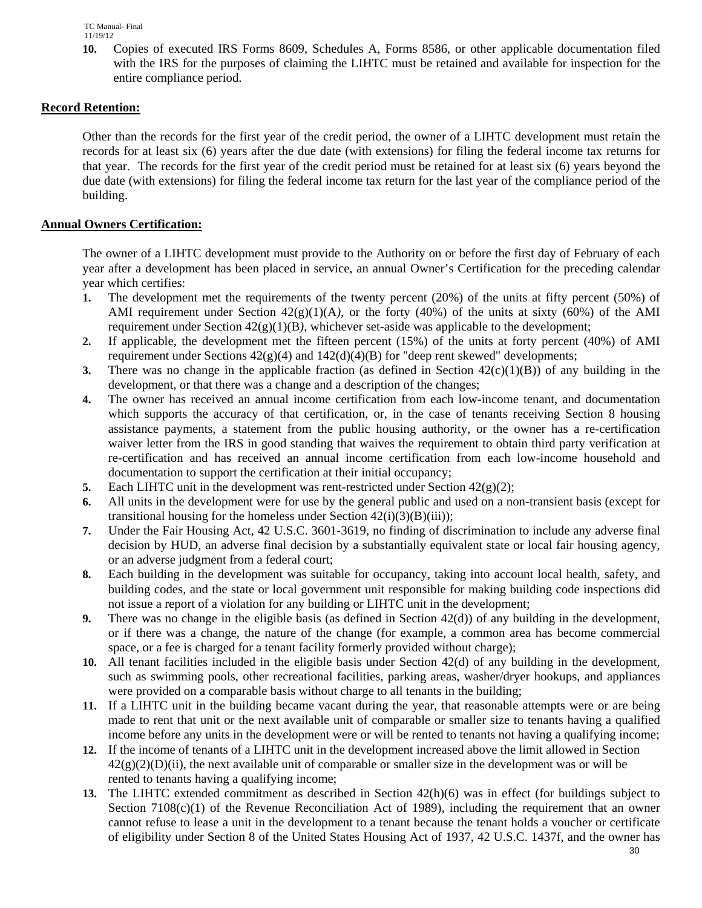**10.** Copies of executed IRS Forms 8609, Schedules A, Forms 8586, or other applicable documentation filed with the IRS for the purposes of claiming the LIHTC must be retained and available for inspection for the entire compliance period.

# **Record Retention:**

Other than the records for the first year of the credit period, the owner of a LIHTC development must retain the records for at least six (6) years after the due date (with extensions) for filing the federal income tax returns for that year. The records for the first year of the credit period must be retained for at least six (6) years beyond the due date (with extensions) for filing the federal income tax return for the last year of the compliance period of the building.

# **Annual Owners Certification:**

The owner of a LIHTC development must provide to the Authority on or before the first day of February of each year after a development has been placed in service, an annual Owner's Certification for the preceding calendar year which certifies:

- **1.** The development met the requirements of the twenty percent (20%) of the units at fifty percent (50%) of AMI requirement under Section  $42(g)(1)(A)$ , or the forty (40%) of the units at sixty (60%) of the AMI requirement under Section 42(g)(1)(B*)*, whichever set-aside was applicable to the development;
- **2.** If applicable, the development met the fifteen percent (15%) of the units at forty percent (40%) of AMI requirement under Sections  $42(g)(4)$  and  $142(d)(4)(B)$  for "deep rent skewed" developments;
- **3.** There was no change in the applicable fraction (as defined in Section  $42(c)(1)(B)$ ) of any building in the development, or that there was a change and a description of the changes;
- **4.** The owner has received an annual income certification from each low-income tenant, and documentation which supports the accuracy of that certification, or, in the case of tenants receiving Section 8 housing assistance payments, a statement from the public housing authority, or the owner has a re-certification waiver letter from the IRS in good standing that waives the requirement to obtain third party verification at re-certification and has received an annual income certification from each low-income household and documentation to support the certification at their initial occupancy;
- **5.** Each LIHTC unit in the development was rent-restricted under Section  $42(g)(2)$ ;
- **6.** All units in the development were for use by the general public and used on a non-transient basis (except for transitional housing for the homeless under Section  $42(i)(3)(B)(iii)$ ;
- **7.** Under the Fair Housing Act, 42 U.S.C. 3601-3619, no finding of discrimination to include any adverse final decision by HUD, an adverse final decision by a substantially equivalent state or local fair housing agency, or an adverse judgment from a federal court;
- **8.** Each building in the development was suitable for occupancy, taking into account local health, safety, and building codes, and the state or local government unit responsible for making building code inspections did not issue a report of a violation for any building or LIHTC unit in the development;
- **9.** There was no change in the eligible basis (as defined in Section 42(d)) of any building in the development, or if there was a change, the nature of the change (for example, a common area has become commercial space, or a fee is charged for a tenant facility formerly provided without charge);
- **10.** All tenant facilities included in the eligible basis under Section 42(d) of any building in the development, such as swimming pools, other recreational facilities, parking areas, washer/dryer hookups, and appliances were provided on a comparable basis without charge to all tenants in the building;
- **11.** If a LIHTC unit in the building became vacant during the year, that reasonable attempts were or are being made to rent that unit or the next available unit of comparable or smaller size to tenants having a qualified income before any units in the development were or will be rented to tenants not having a qualifying income;
- **12.** If the income of tenants of a LIHTC unit in the development increased above the limit allowed in Section  $42(g)(2)(D)(ii)$ , the next available unit of comparable or smaller size in the development was or will be rented to tenants having a qualifying income;
- **13.** The LIHTC extended commitment as described in Section 42(h)(6) was in effect (for buildings subject to Section 7108(c)(1) of the Revenue Reconciliation Act of 1989), including the requirement that an owner cannot refuse to lease a unit in the development to a tenant because the tenant holds a voucher or certificate of eligibility under Section 8 of the United States Housing Act of 1937, 42 U.S.C. 1437f, and the owner has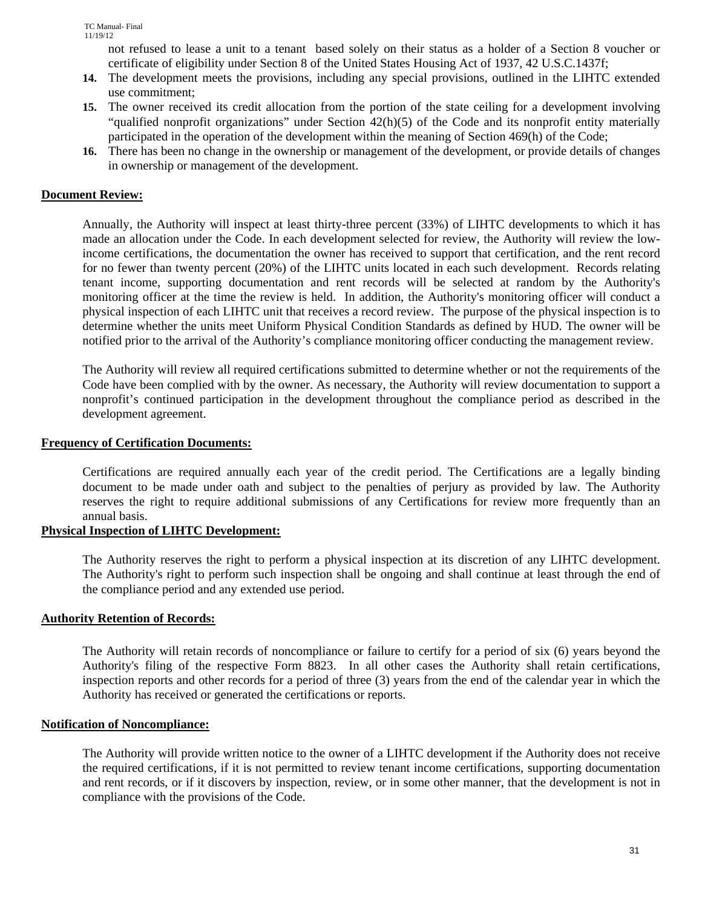not refused to lease a unit to a tenant based solely on their status as a holder of a Section 8 voucher or certificate of eligibility under Section 8 of the United States Housing Act of 1937, 42 U.S.C.1437f;

- **14.** The development meets the provisions, including any special provisions, outlined in the LIHTC extended use commitment;
- **15.** The owner received its credit allocation from the portion of the state ceiling for a development involving "qualified nonprofit organizations" under Section 42(h)(5) of the Code and its nonprofit entity materially participated in the operation of the development within the meaning of Section 469(h) of the Code;
- **16.** There has been no change in the ownership or management of the development, or provide details of changes in ownership or management of the development.

### **Document Review:**

Annually, the Authority will inspect at least thirty-three percent (33%) of LIHTC developments to which it has made an allocation under the Code. In each development selected for review, the Authority will review the lowincome certifications, the documentation the owner has received to support that certification, and the rent record for no fewer than twenty percent (20%) of the LIHTC units located in each such development. Records relating tenant income, supporting documentation and rent records will be selected at random by the Authority's monitoring officer at the time the review is held. In addition, the Authority's monitoring officer will conduct a physical inspection of each LIHTC unit that receives a record review. The purpose of the physical inspection is to determine whether the units meet Uniform Physical Condition Standards as defined by HUD. The owner will be notified prior to the arrival of the Authority's compliance monitoring officer conducting the management review.

The Authority will review all required certifications submitted to determine whether or not the requirements of the Code have been complied with by the owner. As necessary, the Authority will review documentation to support a nonprofit's continued participation in the development throughout the compliance period as described in the development agreement.

#### **Frequency of Certification Documents:**

Certifications are required annually each year of the credit period. The Certifications are a legally binding document to be made under oath and subject to the penalties of perjury as provided by law. The Authority reserves the right to require additional submissions of any Certifications for review more frequently than an annual basis.

#### **Physical Inspection of LIHTC Development:**

The Authority reserves the right to perform a physical inspection at its discretion of any LIHTC development. The Authority's right to perform such inspection shall be ongoing and shall continue at least through the end of the compliance period and any extended use period.

#### **Authority Retention of Records:**

The Authority will retain records of noncompliance or failure to certify for a period of six (6) years beyond the Authority's filing of the respective Form 8823. In all other cases the Authority shall retain certifications, inspection reports and other records for a period of three (3) years from the end of the calendar year in which the Authority has received or generated the certifications or reports.

#### **Notification of Noncompliance:**

The Authority will provide written notice to the owner of a LIHTC development if the Authority does not receive the required certifications, if it is not permitted to review tenant income certifications, supporting documentation and rent records, or if it discovers by inspection, review, or in some other manner, that the development is not in compliance with the provisions of the Code.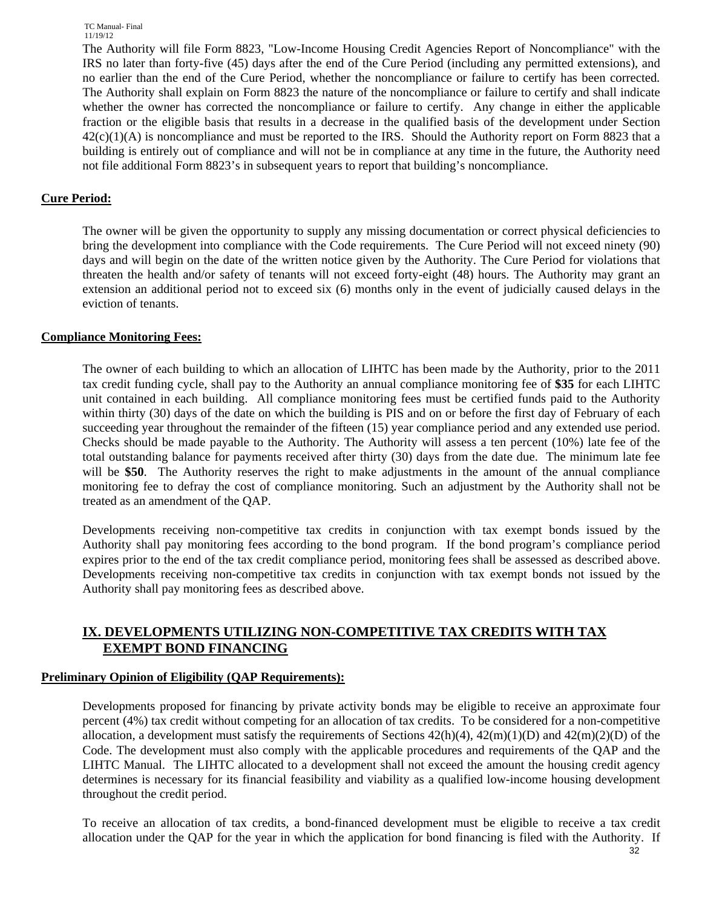The Authority will file Form 8823, "Low-Income Housing Credit Agencies Report of Noncompliance" with the IRS no later than forty-five (45) days after the end of the Cure Period (including any permitted extensions), and no earlier than the end of the Cure Period, whether the noncompliance or failure to certify has been corrected*.*  The Authority shall explain on Form 8823 the nature of the noncompliance or failure to certify and shall indicate whether the owner has corrected the noncompliance or failure to certify. Any change in either the applicable fraction or the eligible basis that results in a decrease in the qualified basis of the development under Section  $42(c)(1)(A)$  is noncompliance and must be reported to the IRS. Should the Authority report on Form 8823 that a building is entirely out of compliance and will not be in compliance at any time in the future, the Authority need not file additional Form 8823's in subsequent years to report that building's noncompliance.

# **Cure Period:**

The owner will be given the opportunity to supply any missing documentation or correct physical deficiencies to bring the development into compliance with the Code requirements. The Cure Period will not exceed ninety (90) days and will begin on the date of the written notice given by the Authority. The Cure Period for violations that threaten the health and/or safety of tenants will not exceed forty-eight (48) hours. The Authority may grant an extension an additional period not to exceed six (6) months only in the event of judicially caused delays in the eviction of tenants.

### **Compliance Monitoring Fees:**

The owner of each building to which an allocation of LIHTC has been made by the Authority, prior to the 2011 tax credit funding cycle, shall pay to the Authority an annual compliance monitoring fee of **\$35** for each LIHTC unit contained in each building. All compliance monitoring fees must be certified funds paid to the Authority within thirty (30) days of the date on which the building is PIS and on or before the first day of February of each succeeding year throughout the remainder of the fifteen (15) year compliance period and any extended use period. Checks should be made payable to the Authority. The Authority will assess a ten percent (10%) late fee of the total outstanding balance for payments received after thirty (30) days from the date due. The minimum late fee will be **\$50**. The Authority reserves the right to make adjustments in the amount of the annual compliance monitoring fee to defray the cost of compliance monitoring. Such an adjustment by the Authority shall not be treated as an amendment of the QAP.

Developments receiving non-competitive tax credits in conjunction with tax exempt bonds issued by the Authority shall pay monitoring fees according to the bond program. If the bond program's compliance period expires prior to the end of the tax credit compliance period, monitoring fees shall be assessed as described above. Developments receiving non-competitive tax credits in conjunction with tax exempt bonds not issued by the Authority shall pay monitoring fees as described above.

# **IX. DEVELOPMENTS UTILIZING NON-COMPETITIVE TAX CREDITS WITH TAX EXEMPT BOND FINANCING**

# **Preliminary Opinion of Eligibility (QAP Requirements):**

Developments proposed for financing by private activity bonds may be eligible to receive an approximate four percent (4%) tax credit without competing for an allocation of tax credits. To be considered for a non-competitive allocation, a development must satisfy the requirements of Sections  $42(h)(4)$ ,  $42(m)(1)(D)$  and  $42(m)(2)(D)$  of the Code. The development must also comply with the applicable procedures and requirements of the QAP and the LIHTC Manual. The LIHTC allocated to a development shall not exceed the amount the housing credit agency determines is necessary for its financial feasibility and viability as a qualified low-income housing development throughout the credit period.

To receive an allocation of tax credits, a bond-financed development must be eligible to receive a tax credit allocation under the QAP for the year in which the application for bond financing is filed with the Authority. If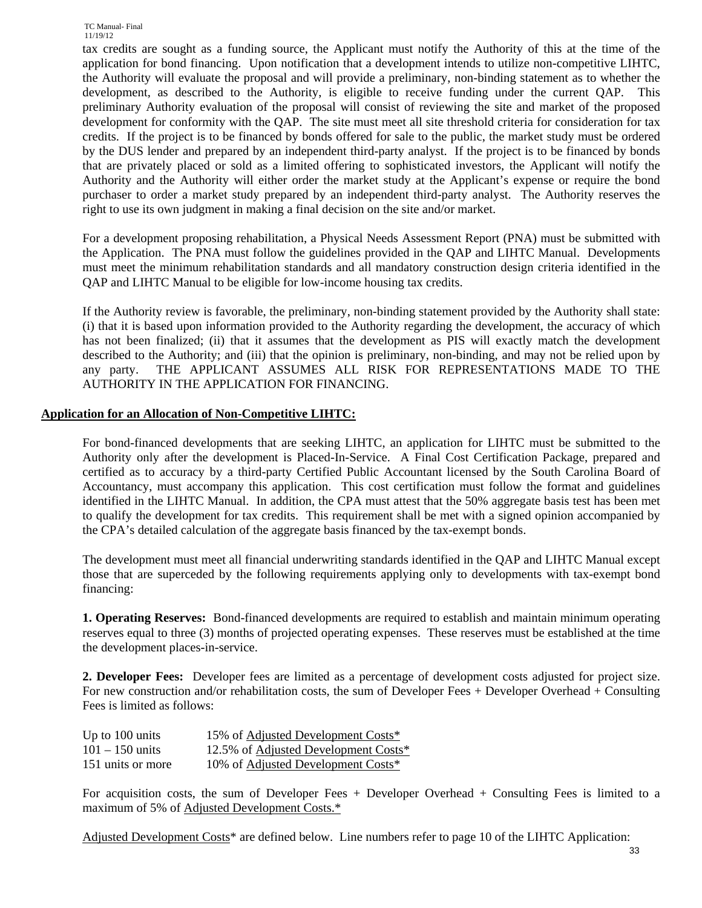tax credits are sought as a funding source, the Applicant must notify the Authority of this at the time of the application for bond financing. Upon notification that a development intends to utilize non-competitive LIHTC, the Authority will evaluate the proposal and will provide a preliminary, non-binding statement as to whether the development, as described to the Authority, is eligible to receive funding under the current QAP. This preliminary Authority evaluation of the proposal will consist of reviewing the site and market of the proposed development for conformity with the QAP. The site must meet all site threshold criteria for consideration for tax credits. If the project is to be financed by bonds offered for sale to the public, the market study must be ordered by the DUS lender and prepared by an independent third-party analyst. If the project is to be financed by bonds that are privately placed or sold as a limited offering to sophisticated investors, the Applicant will notify the Authority and the Authority will either order the market study at the Applicant's expense or require the bond purchaser to order a market study prepared by an independent third-party analyst. The Authority reserves the right to use its own judgment in making a final decision on the site and/or market.

For a development proposing rehabilitation, a Physical Needs Assessment Report (PNA) must be submitted with the Application. The PNA must follow the guidelines provided in the QAP and LIHTC Manual. Developments must meet the minimum rehabilitation standards and all mandatory construction design criteria identified in the QAP and LIHTC Manual to be eligible for low-income housing tax credits.

If the Authority review is favorable, the preliminary, non-binding statement provided by the Authority shall state: (i) that it is based upon information provided to the Authority regarding the development, the accuracy of which has not been finalized; (ii) that it assumes that the development as PIS will exactly match the development described to the Authority; and (iii) that the opinion is preliminary, non-binding, and may not be relied upon by any party. THE APPLICANT ASSUMES ALL RISK FOR REPRESENTATIONS MADE TO THE AUTHORITY IN THE APPLICATION FOR FINANCING.

#### **Application for an Allocation of Non-Competitive LIHTC:**

For bond-financed developments that are seeking LIHTC, an application for LIHTC must be submitted to the Authority only after the development is Placed-In-Service. A Final Cost Certification Package, prepared and certified as to accuracy by a third-party Certified Public Accountant licensed by the South Carolina Board of Accountancy, must accompany this application. This cost certification must follow the format and guidelines identified in the LIHTC Manual. In addition, the CPA must attest that the 50% aggregate basis test has been met to qualify the development for tax credits. This requirement shall be met with a signed opinion accompanied by the CPA's detailed calculation of the aggregate basis financed by the tax-exempt bonds.

The development must meet all financial underwriting standards identified in the QAP and LIHTC Manual except those that are superceded by the following requirements applying only to developments with tax-exempt bond financing:

**1. Operating Reserves:** Bond-financed developments are required to establish and maintain minimum operating reserves equal to three (3) months of projected operating expenses. These reserves must be established at the time the development places-in-service.

**2. Developer Fees:** Developer fees are limited as a percentage of development costs adjusted for project size. For new construction and/or rehabilitation costs, the sum of Developer Fees + Developer Overhead + Consulting Fees is limited as follows:

| Up to 100 units   | 15% of Adjusted Development Costs*           |
|-------------------|----------------------------------------------|
| $101 - 150$ units | 12.5% of <u>Adjusted Development Costs</u> * |
| 151 units or more | 10% of Adjusted Development Costs*           |

For acquisition costs, the sum of Developer Fees + Developer Overhead + Consulting Fees is limited to a maximum of 5% of Adjusted Development Costs.\*

Adjusted Development Costs\* are defined below. Line numbers refer to page 10 of the LIHTC Application: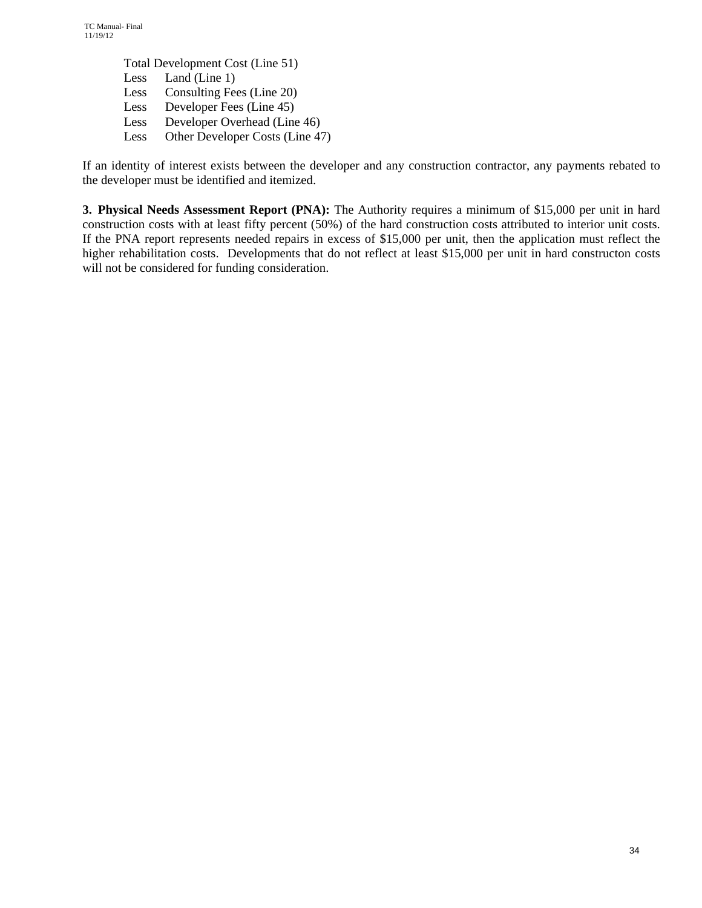> Total Development Cost (Line 51) Less Land (Line 1) Less Consulting Fees (Line 20) Less Developer Fees (Line 45) Less Developer Overhead (Line 46) Less Other Developer Costs (Line 47)

If an identity of interest exists between the developer and any construction contractor, any payments rebated to the developer must be identified and itemized.

**3. Physical Needs Assessment Report (PNA):** The Authority requires a minimum of \$15,000 per unit in hard construction costs with at least fifty percent (50%) of the hard construction costs attributed to interior unit costs. If the PNA report represents needed repairs in excess of \$15,000 per unit, then the application must reflect the higher rehabilitation costs. Developments that do not reflect at least \$15,000 per unit in hard constructon costs will not be considered for funding consideration.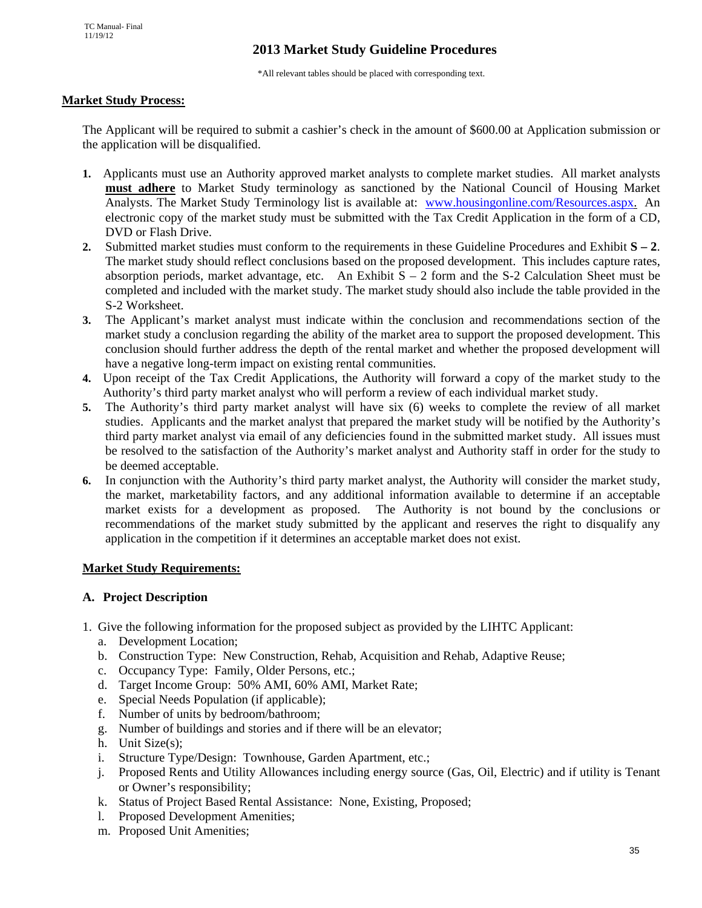# **2013 Market Study Guideline Procedures**

\*All relevant tables should be placed with corresponding text.

### **Market Study Process:**

The Applicant will be required to submit a cashier's check in the amount of \$600.00 at Application submission or the application will be disqualified.

- **1.** Applicants must use an Authority approved market analysts to complete market studies. All market analysts **must adhere** to Market Study terminology as sanctioned by the National Council of Housing Market Analysts. The Market Study Terminology list is available at: www.housingonline.com/Resources.aspx. An electronic copy of the market study must be submitted with the Tax Credit Application in the form of a CD, DVD or Flash Drive.
- **2.** Submitted market studies must conform to the requirements in these Guideline Procedures and Exhibit **S 2**. The market study should reflect conclusions based on the proposed development. This includes capture rates, absorption periods, market advantage, etc. An Exhibit  $S - 2$  form and the S-2 Calculation Sheet must be completed and included with the market study. The market study should also include the table provided in the S-2 Worksheet.
- **3.** The Applicant's market analyst must indicate within the conclusion and recommendations section of the market study a conclusion regarding the ability of the market area to support the proposed development. This conclusion should further address the depth of the rental market and whether the proposed development will have a negative long-term impact on existing rental communities.
- **4.** Upon receipt of the Tax Credit Applications, the Authority will forward a copy of the market study to the Authority's third party market analyst who will perform a review of each individual market study.
- **5.** The Authority's third party market analyst will have six (6) weeks to complete the review of all market studies. Applicants and the market analyst that prepared the market study will be notified by the Authority's third party market analyst via email of any deficiencies found in the submitted market study. All issues must be resolved to the satisfaction of the Authority's market analyst and Authority staff in order for the study to be deemed acceptable.
- **6.** In conjunction with the Authority's third party market analyst, the Authority will consider the market study, the market, marketability factors, and any additional information available to determine if an acceptable market exists for a development as proposed. The Authority is not bound by the conclusions or recommendations of the market study submitted by the applicant and reserves the right to disqualify any application in the competition if it determines an acceptable market does not exist.

#### **Market Study Requirements:**

#### **A. Project Description**

- 1. Give the following information for the proposed subject as provided by the LIHTC Applicant:
	- a. Development Location;
	- b. Construction Type: New Construction, Rehab, Acquisition and Rehab, Adaptive Reuse;
	- c. Occupancy Type: Family, Older Persons, etc.;
	- d. Target Income Group: 50% AMI, 60% AMI, Market Rate;
	- e. Special Needs Population (if applicable);
	- f. Number of units by bedroom/bathroom;
	- g. Number of buildings and stories and if there will be an elevator;
	- h. Unit Size(s);
	- i. Structure Type/Design: Townhouse, Garden Apartment, etc.;
	- j. Proposed Rents and Utility Allowances including energy source (Gas, Oil, Electric) and if utility is Tenant or Owner's responsibility;
	- k. Status of Project Based Rental Assistance: None, Existing, Proposed;
	- l. Proposed Development Amenities;
	- m. Proposed Unit Amenities;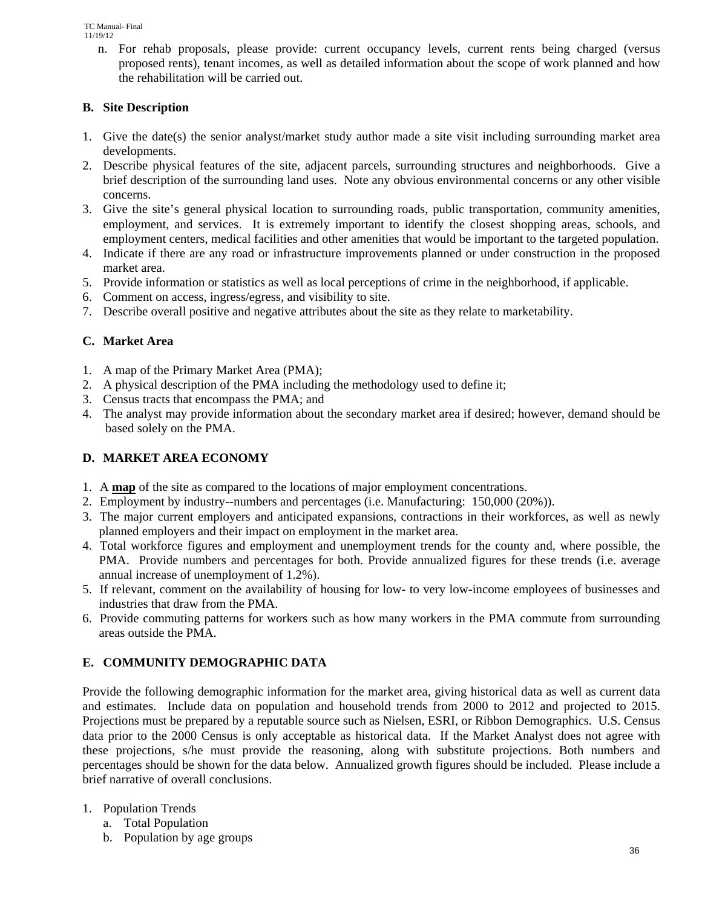> n. For rehab proposals, please provide: current occupancy levels, current rents being charged (versus proposed rents), tenant incomes, as well as detailed information about the scope of work planned and how the rehabilitation will be carried out.

# **B. Site Description**

- 1. Give the date(s) the senior analyst/market study author made a site visit including surrounding market area developments.
- 2. Describe physical features of the site, adjacent parcels, surrounding structures and neighborhoods. Give a brief description of the surrounding land uses. Note any obvious environmental concerns or any other visible concerns.
- 3. Give the site's general physical location to surrounding roads, public transportation, community amenities, employment, and services. It is extremely important to identify the closest shopping areas, schools, and employment centers, medical facilities and other amenities that would be important to the targeted population.
- 4. Indicate if there are any road or infrastructure improvements planned or under construction in the proposed market area.
- 5. Provide information or statistics as well as local perceptions of crime in the neighborhood, if applicable.
- 6. Comment on access, ingress/egress, and visibility to site.
- 7. Describe overall positive and negative attributes about the site as they relate to marketability.

# **C. Market Area**

- 1. A map of the Primary Market Area (PMA);
- 2. A physical description of the PMA including the methodology used to define it;
- 3. Census tracts that encompass the PMA; and
- 4. The analyst may provide information about the secondary market area if desired; however, demand should be based solely on the PMA.

# **D. MARKET AREA ECONOMY**

- 1. A **map** of the site as compared to the locations of major employment concentrations.
- 2. Employment by industry--numbers and percentages (i.e. Manufacturing: 150,000 (20%)).
- 3. The major current employers and anticipated expansions, contractions in their workforces, as well as newly planned employers and their impact on employment in the market area.
- 4. Total workforce figures and employment and unemployment trends for the county and, where possible, the PMA. Provide numbers and percentages for both. Provide annualized figures for these trends (i.e. average annual increase of unemployment of 1.2%).
- 5. If relevant, comment on the availability of housing for low- to very low-income employees of businesses and industries that draw from the PMA.
- 6. Provide commuting patterns for workers such as how many workers in the PMA commute from surrounding areas outside the PMA.

# **E. COMMUNITY DEMOGRAPHIC DATA**

Provide the following demographic information for the market area, giving historical data as well as current data and estimates. Include data on population and household trends from 2000 to 2012 and projected to 2015. Projections must be prepared by a reputable source such as Nielsen, ESRI, or Ribbon Demographics. U.S. Census data prior to the 2000 Census is only acceptable as historical data. If the Market Analyst does not agree with these projections, s/he must provide the reasoning, along with substitute projections. Both numbers and percentages should be shown for the data below. Annualized growth figures should be included. Please include a brief narrative of overall conclusions.

- 1. Population Trends
	- a. Total Population
	- b. Population by age groups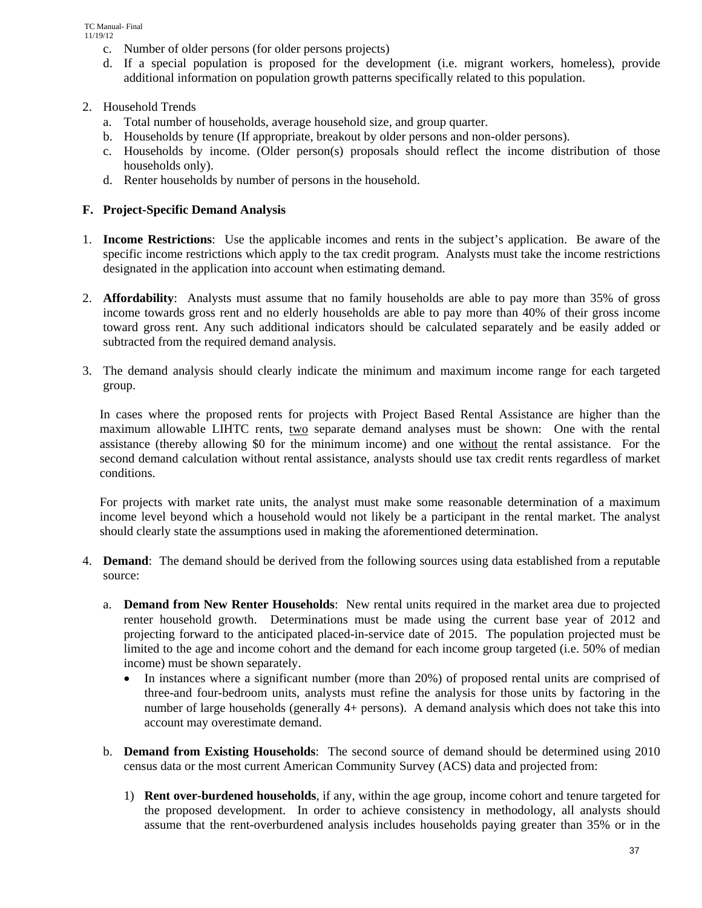- c. Number of older persons (for older persons projects)
- d. If a special population is proposed for the development (i.e. migrant workers, homeless), provide additional information on population growth patterns specifically related to this population.
- 2. Household Trends
	- a. Total number of households, average household size, and group quarter.
	- b. Households by tenure (If appropriate, breakout by older persons and non-older persons).
	- c. Households by income. (Older person(s) proposals should reflect the income distribution of those households only).
	- d. Renter households by number of persons in the household.

### **F. Project-Specific Demand Analysis**

- 1. **Income Restrictions**: Use the applicable incomes and rents in the subject's application. Be aware of the specific income restrictions which apply to the tax credit program. Analysts must take the income restrictions designated in the application into account when estimating demand.
- 2. **Affordability**: Analysts must assume that no family households are able to pay more than 35% of gross income towards gross rent and no elderly households are able to pay more than 40% of their gross income toward gross rent. Any such additional indicators should be calculated separately and be easily added or subtracted from the required demand analysis.
- 3. The demand analysis should clearly indicate the minimum and maximum income range for each targeted group.

In cases where the proposed rents for projects with Project Based Rental Assistance are higher than the maximum allowable LIHTC rents, two separate demand analyses must be shown: One with the rental assistance (thereby allowing \$0 for the minimum income) and one without the rental assistance. For the second demand calculation without rental assistance, analysts should use tax credit rents regardless of market conditions.

For projects with market rate units, the analyst must make some reasonable determination of a maximum income level beyond which a household would not likely be a participant in the rental market. The analyst should clearly state the assumptions used in making the aforementioned determination.

- 4. **Demand**: The demand should be derived from the following sources using data established from a reputable source:
	- a. **Demand from New Renter Households**: New rental units required in the market area due to projected renter household growth. Determinations must be made using the current base year of 2012 and projecting forward to the anticipated placed-in-service date of 2015. The population projected must be limited to the age and income cohort and the demand for each income group targeted (i.e. 50% of median income) must be shown separately.
		- In instances where a significant number (more than 20%) of proposed rental units are comprised of three-and four-bedroom units, analysts must refine the analysis for those units by factoring in the number of large households (generally 4+ persons). A demand analysis which does not take this into account may overestimate demand.
	- b. **Demand from Existing Households**: The second source of demand should be determined using 2010 census data or the most current American Community Survey (ACS) data and projected from:
		- 1) **Rent over-burdened households**, if any, within the age group, income cohort and tenure targeted for the proposed development. In order to achieve consistency in methodology, all analysts should assume that the rent-overburdened analysis includes households paying greater than 35% or in the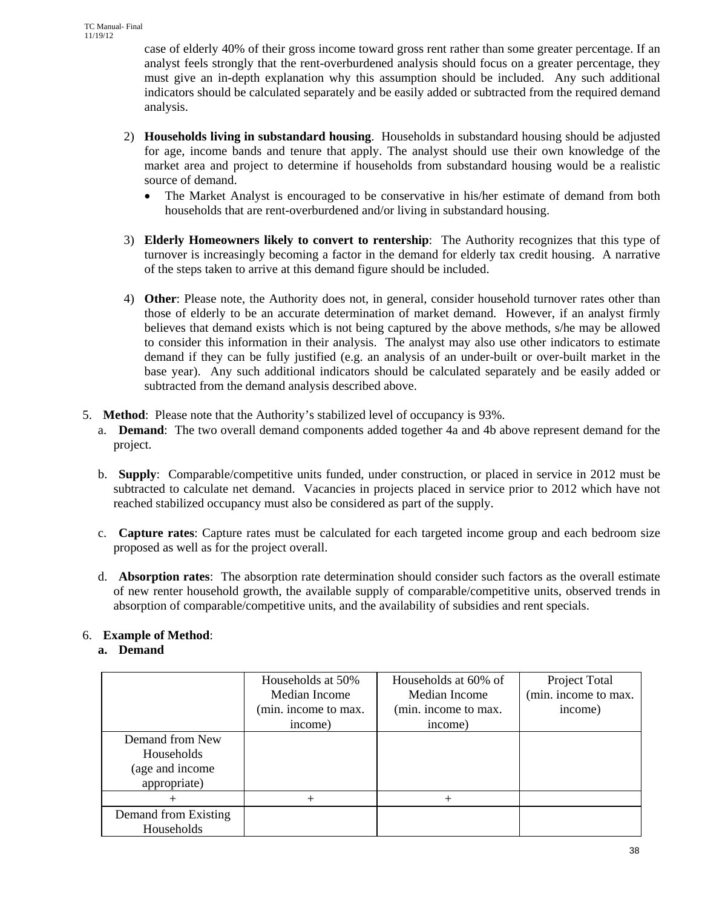case of elderly 40% of their gross income toward gross rent rather than some greater percentage. If an analyst feels strongly that the rent-overburdened analysis should focus on a greater percentage, they must give an in-depth explanation why this assumption should be included. Any such additional indicators should be calculated separately and be easily added or subtracted from the required demand analysis.

- 2) **Households living in substandard housing**. Households in substandard housing should be adjusted for age, income bands and tenure that apply. The analyst should use their own knowledge of the market area and project to determine if households from substandard housing would be a realistic source of demand.
	- The Market Analyst is encouraged to be conservative in his/her estimate of demand from both households that are rent-overburdened and/or living in substandard housing.
- 3) **Elderly Homeowners likely to convert to rentership**: The Authority recognizes that this type of turnover is increasingly becoming a factor in the demand for elderly tax credit housing. A narrative of the steps taken to arrive at this demand figure should be included.
- 4) **Other**: Please note, the Authority does not, in general, consider household turnover rates other than those of elderly to be an accurate determination of market demand. However, if an analyst firmly believes that demand exists which is not being captured by the above methods, s/he may be allowed to consider this information in their analysis. The analyst may also use other indicators to estimate demand if they can be fully justified (e.g. an analysis of an under-built or over-built market in the base year). Any such additional indicators should be calculated separately and be easily added or subtracted from the demand analysis described above.
- 5. **Method**: Please note that the Authority's stabilized level of occupancy is 93%.
	- a. **Demand**: The two overall demand components added together 4a and 4b above represent demand for the project.
	- b. **Supply**: Comparable/competitive units funded, under construction, or placed in service in 2012 must be subtracted to calculate net demand. Vacancies in projects placed in service prior to 2012 which have not reached stabilized occupancy must also be considered as part of the supply.
	- c. **Capture rates**: Capture rates must be calculated for each targeted income group and each bedroom size proposed as well as for the project overall.
	- d. **Absorption rates**: The absorption rate determination should consider such factors as the overall estimate of new renter household growth, the available supply of comparable/competitive units, observed trends in absorption of comparable/competitive units, and the availability of subsidies and rent specials.

# 6. **Example of Method**:

# **a. Demand**

|                                                                  | Households at 50%<br>Median Income | Households at 60% of<br>Median Income | Project Total<br>(min. income to max. |
|------------------------------------------------------------------|------------------------------------|---------------------------------------|---------------------------------------|
|                                                                  | (min. income to max.)<br>income)   | (min. income to max.<br>income)       | income)                               |
| Demand from New<br>Households<br>(age and income<br>appropriate) |                                    |                                       |                                       |
|                                                                  |                                    |                                       |                                       |
| Demand from Existing<br>Households                               |                                    |                                       |                                       |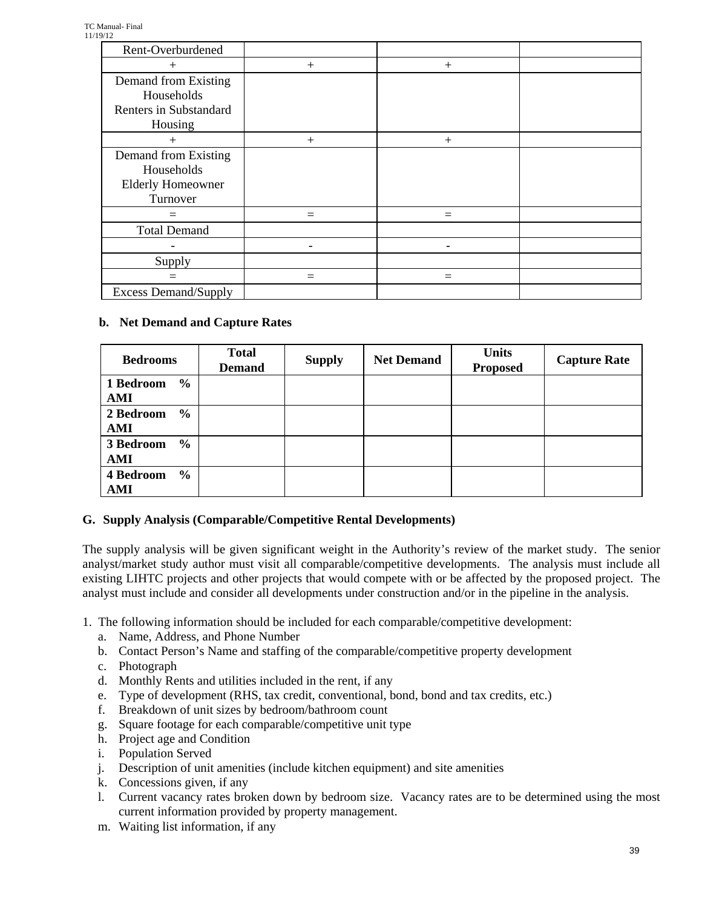| Rent-Overburdened                                                          |          |              |  |
|----------------------------------------------------------------------------|----------|--------------|--|
|                                                                            | $+$      | $+$          |  |
| Demand from Existing<br>Households<br>Renters in Substandard<br>Housing    |          |              |  |
| $^{+}$                                                                     | $^{+}$   | $\mathrm{+}$ |  |
| Demand from Existing<br>Households<br><b>Elderly Homeowner</b><br>Turnover |          |              |  |
|                                                                            |          |              |  |
| <b>Total Demand</b>                                                        |          |              |  |
|                                                                            |          |              |  |
| Supply                                                                     |          |              |  |
|                                                                            | $\equiv$ | $=$          |  |
| <b>Excess Demand/Supply</b>                                                |          |              |  |

### **b. Net Demand and Capture Rates**

| <b>Bedrooms</b>                   | <b>Total</b><br><b>Demand</b> | <b>Supply</b> | <b>Net Demand</b> | <b>Units</b><br><b>Proposed</b> | <b>Capture Rate</b> |
|-----------------------------------|-------------------------------|---------------|-------------------|---------------------------------|---------------------|
| $\frac{6}{6}$<br>1 Bedroom<br>AMI |                               |               |                   |                                 |                     |
| 2 Bedroom<br>$\frac{0}{0}$<br>AMI |                               |               |                   |                                 |                     |
| 3 Bedroom<br>$\frac{6}{9}$<br>AMI |                               |               |                   |                                 |                     |
| 4 Bedroom<br>$\frac{0}{0}$<br>AMI |                               |               |                   |                                 |                     |

# **G. Supply Analysis (Comparable/Competitive Rental Developments)**

The supply analysis will be given significant weight in the Authority's review of the market study. The senior analyst/market study author must visit all comparable/competitive developments. The analysis must include all existing LIHTC projects and other projects that would compete with or be affected by the proposed project. The analyst must include and consider all developments under construction and/or in the pipeline in the analysis.

1. The following information should be included for each comparable/competitive development:

- a. Name, Address, and Phone Number
- b. Contact Person's Name and staffing of the comparable/competitive property development
- c. Photograph
- d. Monthly Rents and utilities included in the rent, if any
- e. Type of development (RHS, tax credit, conventional, bond, bond and tax credits, etc.)
- f. Breakdown of unit sizes by bedroom/bathroom count
- g. Square footage for each comparable/competitive unit type
- h. Project age and Condition
- i. Population Served
- j. Description of unit amenities (include kitchen equipment) and site amenities
- k. Concessions given, if any
- l. Current vacancy rates broken down by bedroom size. Vacancy rates are to be determined using the most current information provided by property management.
- m. Waiting list information, if any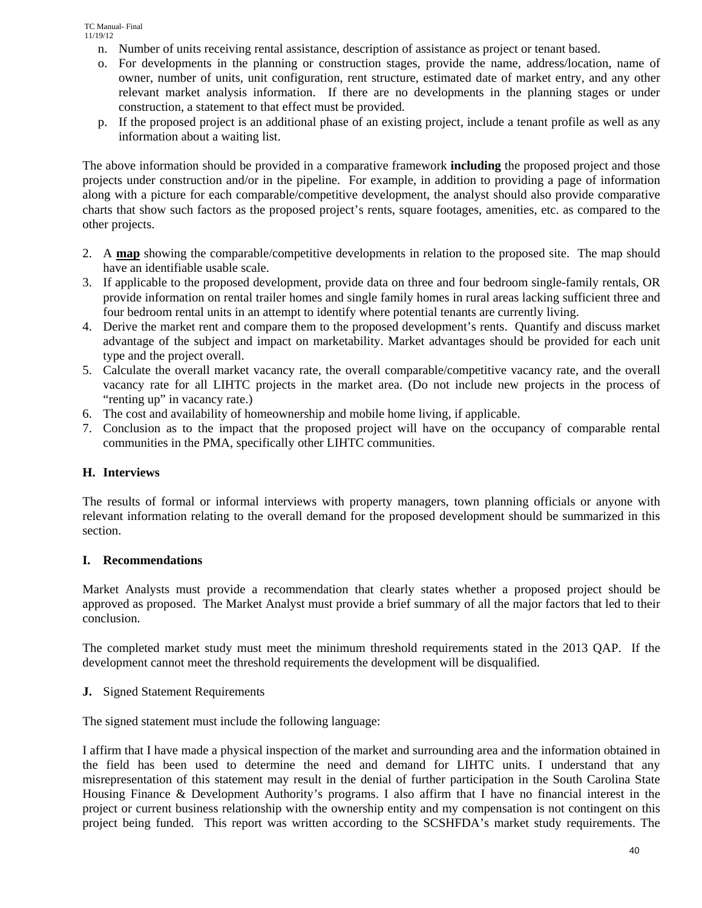- n. Number of units receiving rental assistance, description of assistance as project or tenant based.
- o. For developments in the planning or construction stages, provide the name, address/location, name of owner, number of units, unit configuration, rent structure, estimated date of market entry, and any other relevant market analysis information. If there are no developments in the planning stages or under construction, a statement to that effect must be provided.
- p. If the proposed project is an additional phase of an existing project, include a tenant profile as well as any information about a waiting list.

The above information should be provided in a comparative framework **including** the proposed project and those projects under construction and/or in the pipeline. For example, in addition to providing a page of information along with a picture for each comparable/competitive development, the analyst should also provide comparative charts that show such factors as the proposed project's rents, square footages, amenities, etc. as compared to the other projects.

- 2. A **map** showing the comparable/competitive developments in relation to the proposed site. The map should have an identifiable usable scale.
- 3. If applicable to the proposed development, provide data on three and four bedroom single-family rentals, OR provide information on rental trailer homes and single family homes in rural areas lacking sufficient three and four bedroom rental units in an attempt to identify where potential tenants are currently living.
- 4. Derive the market rent and compare them to the proposed development's rents. Quantify and discuss market advantage of the subject and impact on marketability. Market advantages should be provided for each unit type and the project overall.
- 5. Calculate the overall market vacancy rate, the overall comparable/competitive vacancy rate, and the overall vacancy rate for all LIHTC projects in the market area. (Do not include new projects in the process of "renting up" in vacancy rate.)
- 6. The cost and availability of homeownership and mobile home living, if applicable.
- 7. Conclusion as to the impact that the proposed project will have on the occupancy of comparable rental communities in the PMA, specifically other LIHTC communities.

# **H. Interviews**

The results of formal or informal interviews with property managers, town planning officials or anyone with relevant information relating to the overall demand for the proposed development should be summarized in this section.

# **I. Recommendations**

Market Analysts must provide a recommendation that clearly states whether a proposed project should be approved as proposed. The Market Analyst must provide a brief summary of all the major factors that led to their conclusion.

The completed market study must meet the minimum threshold requirements stated in the 2013 QAP. If the development cannot meet the threshold requirements the development will be disqualified.

#### **J.** Signed Statement Requirements

The signed statement must include the following language:

I affirm that I have made a physical inspection of the market and surrounding area and the information obtained in the field has been used to determine the need and demand for LIHTC units. I understand that any misrepresentation of this statement may result in the denial of further participation in the South Carolina State Housing Finance & Development Authority's programs. I also affirm that I have no financial interest in the project or current business relationship with the ownership entity and my compensation is not contingent on this project being funded. This report was written according to the SCSHFDA's market study requirements. The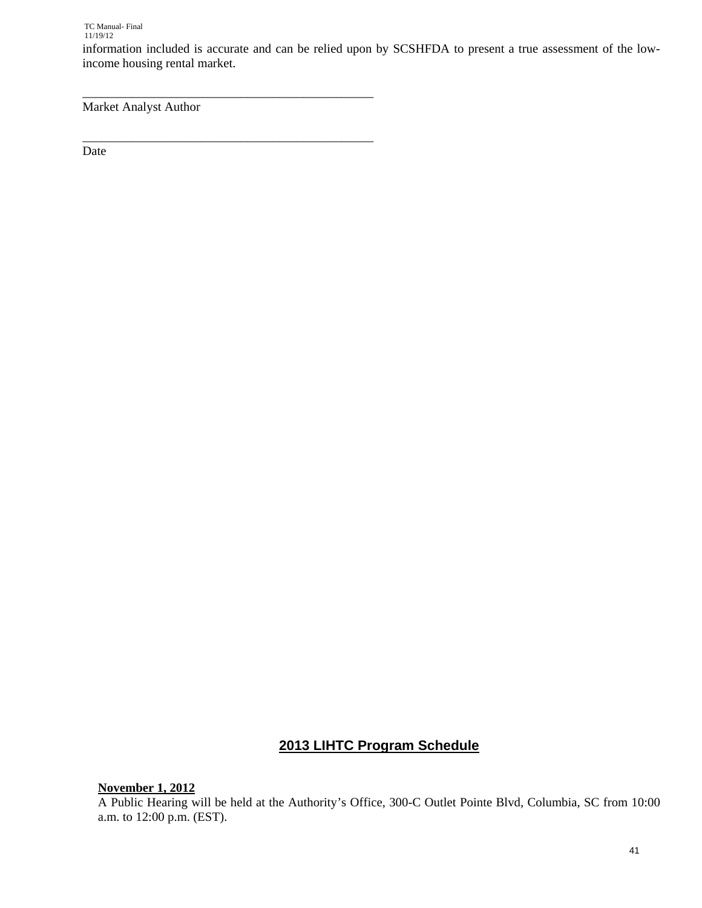information included is accurate and can be relied upon by SCSHFDA to present a true assessment of the lowincome housing rental market.

Market Analyst Author

\_\_\_\_\_\_\_\_\_\_\_\_\_\_\_\_\_\_\_\_\_\_\_\_\_\_\_\_\_\_\_\_\_\_\_\_\_\_\_\_\_\_\_\_\_\_

\_\_\_\_\_\_\_\_\_\_\_\_\_\_\_\_\_\_\_\_\_\_\_\_\_\_\_\_\_\_\_\_\_\_\_\_\_\_\_\_\_\_\_\_\_\_

Date

# **2013 LIHTC Program Schedule**

**November 1, 2012** 

A Public Hearing will be held at the Authority's Office, 300-C Outlet Pointe Blvd, Columbia, SC from 10:00 a.m. to 12:00 p.m. (EST).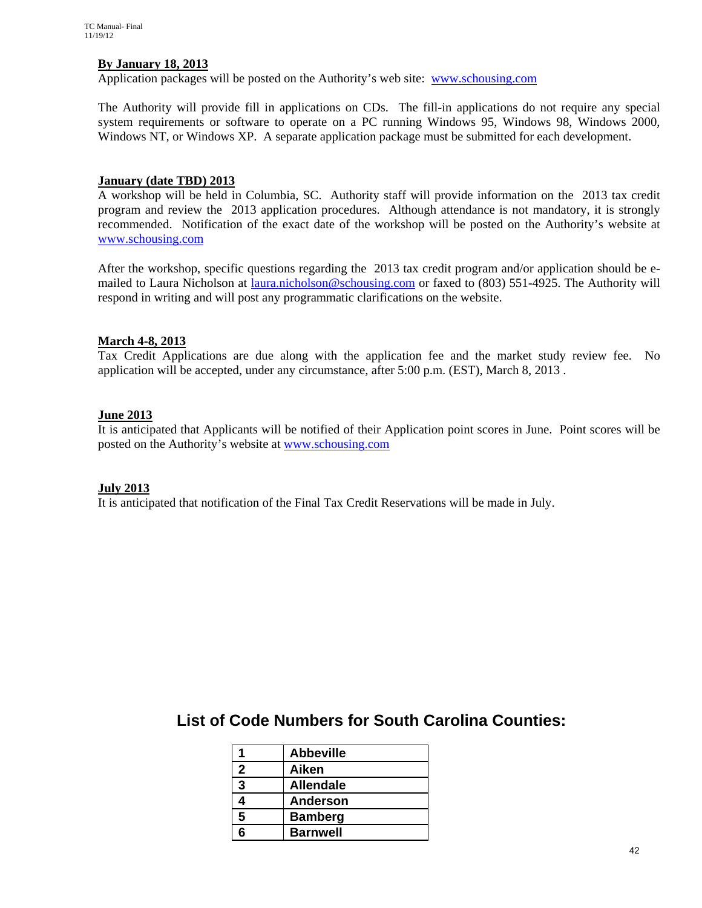### **By January 18, 2013**

Application packages will be posted on the Authority's web site: www.schousing.com

The Authority will provide fill in applications on CDs. The fill-in applications do not require any special system requirements or software to operate on a PC running Windows 95, Windows 98, Windows 2000, Windows NT, or Windows XP. A separate application package must be submitted for each development.

### **January (date TBD) 2013**

A workshop will be held in Columbia, SC. Authority staff will provide information on the 2013 tax credit program and review the 2013 application procedures. Although attendance is not mandatory, it is strongly recommended. Notification of the exact date of the workshop will be posted on the Authority's website at www.schousing.com

After the workshop, specific questions regarding the 2013 tax credit program and/or application should be emailed to Laura Nicholson at *laura.nicholson@schousing.com* or faxed to (803) 551-4925. The Authority will respond in writing and will post any programmatic clarifications on the website.

### **March 4-8, 2013**

Tax Credit Applications are due along with the application fee and the market study review fee. No application will be accepted, under any circumstance, after 5:00 p.m. (EST), March 8, 2013 .

### **June 2013**

It is anticipated that Applicants will be notified of their Application point scores in June. Point scores will be posted on the Authority's website at www.schousing.com

#### **July 2013**

It is anticipated that notification of the Final Tax Credit Reservations will be made in July.

**List of Code Numbers for South Carolina Counties:** 

|              | <b>Abbeville</b> |
|--------------|------------------|
| $\mathbf{2}$ | Aiken            |
| 3            | <b>Allendale</b> |
|              | Anderson         |
| 5            | <b>Bamberg</b>   |
|              | <b>Barnwell</b>  |